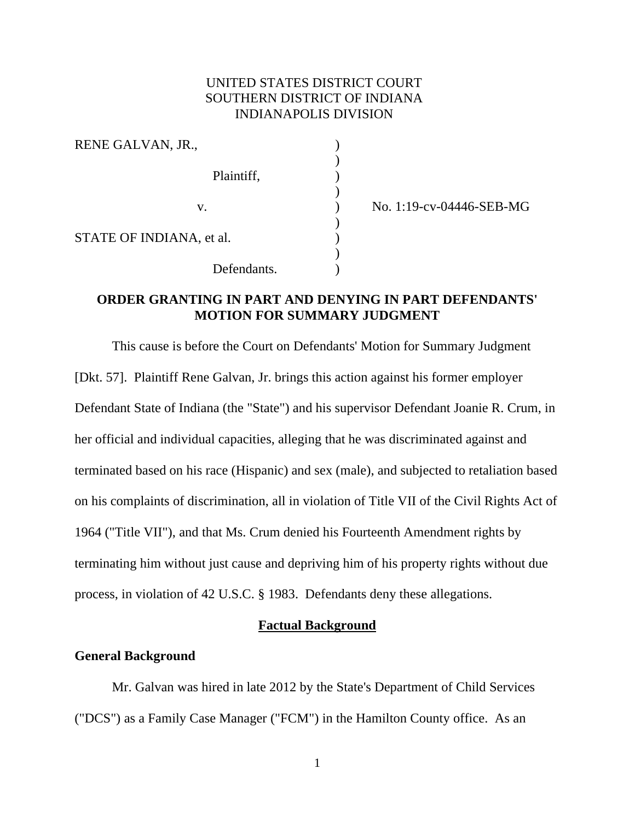# UNITED STATES DISTRICT COURT SOUTHERN DISTRICT OF INDIANA INDIANAPOLIS DIVISION

| RENE GALVAN, JR.,        |  |
|--------------------------|--|
| Plaintiff,               |  |
| V.                       |  |
| STATE OF INDIANA, et al. |  |
| Defendants.              |  |

) No. 1:19-cv-04446-SEB-MG

# **ORDER GRANTING IN PART AND DENYING IN PART DEFENDANTS' MOTION FOR SUMMARY JUDGMENT**

This cause is before the Court on Defendants' Motion for Summary Judgment [Dkt. 57]. Plaintiff Rene Galvan, Jr. brings this action against his former employer Defendant State of Indiana (the "State") and his supervisor Defendant Joanie R. Crum, in her official and individual capacities, alleging that he was discriminated against and terminated based on his race (Hispanic) and sex (male), and subjected to retaliation based on his complaints of discrimination, all in violation of Title VII of the Civil Rights Act of 1964 ("Title VII"), and that Ms. Crum denied his Fourteenth Amendment rights by terminating him without just cause and depriving him of his property rights without due process, in violation of 42 U.S.C. § 1983. Defendants deny these allegations.

# **Factual Background**

# **General Background**

Mr. Galvan was hired in late 2012 by the State's Department of Child Services ("DCS") as a Family Case Manager ("FCM") in the Hamilton County office. As an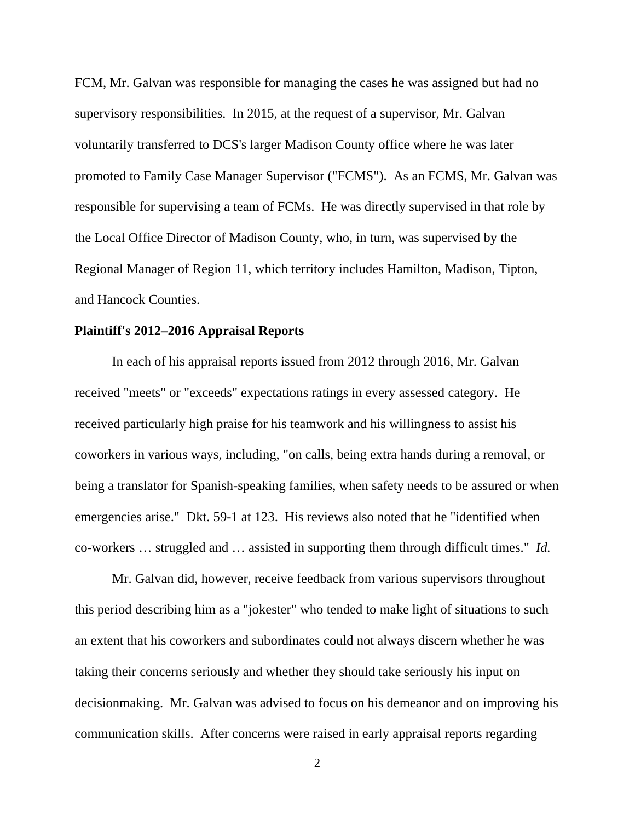FCM, Mr. Galvan was responsible for managing the cases he was assigned but had no supervisory responsibilities. In 2015, at the request of a supervisor, Mr. Galvan voluntarily transferred to DCS's larger Madison County office where he was later promoted to Family Case Manager Supervisor ("FCMS"). As an FCMS, Mr. Galvan was responsible for supervising a team of FCMs. He was directly supervised in that role by the Local Office Director of Madison County, who, in turn, was supervised by the Regional Manager of Region 11, which territory includes Hamilton, Madison, Tipton, and Hancock Counties.

### **Plaintiff's 2012–2016 Appraisal Reports**

In each of his appraisal reports issued from 2012 through 2016, Mr. Galvan received "meets" or "exceeds" expectations ratings in every assessed category. He received particularly high praise for his teamwork and his willingness to assist his coworkers in various ways, including, "on calls, being extra hands during a removal, or being a translator for Spanish-speaking families, when safety needs to be assured or when emergencies arise." Dkt. 59-1 at 123. His reviews also noted that he "identified when co-workers … struggled and … assisted in supporting them through difficult times." *Id.*

Mr. Galvan did, however, receive feedback from various supervisors throughout this period describing him as a "jokester" who tended to make light of situations to such an extent that his coworkers and subordinates could not always discern whether he was taking their concerns seriously and whether they should take seriously his input on decisionmaking. Mr. Galvan was advised to focus on his demeanor and on improving his communication skills. After concerns were raised in early appraisal reports regarding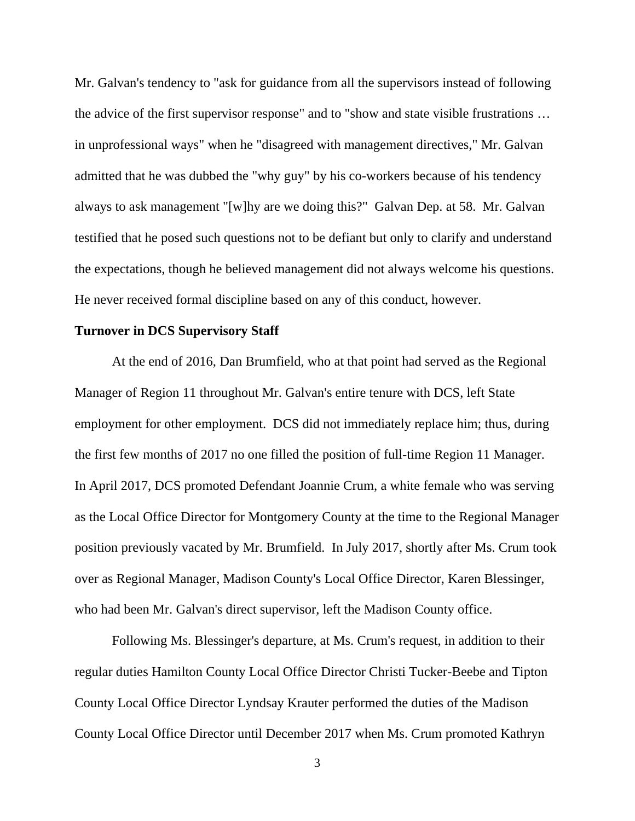Mr. Galvan's tendency to "ask for guidance from all the supervisors instead of following the advice of the first supervisor response" and to "show and state visible frustrations … in unprofessional ways" when he "disagreed with management directives," Mr. Galvan admitted that he was dubbed the "why guy" by his co-workers because of his tendency always to ask management "[w]hy are we doing this?" Galvan Dep. at 58. Mr. Galvan testified that he posed such questions not to be defiant but only to clarify and understand the expectations, though he believed management did not always welcome his questions. He never received formal discipline based on any of this conduct, however.

# **Turnover in DCS Supervisory Staff**

At the end of 2016, Dan Brumfield, who at that point had served as the Regional Manager of Region 11 throughout Mr. Galvan's entire tenure with DCS, left State employment for other employment. DCS did not immediately replace him; thus, during the first few months of 2017 no one filled the position of full-time Region 11 Manager. In April 2017, DCS promoted Defendant Joannie Crum, a white female who was serving as the Local Office Director for Montgomery County at the time to the Regional Manager position previously vacated by Mr. Brumfield. In July 2017, shortly after Ms. Crum took over as Regional Manager, Madison County's Local Office Director, Karen Blessinger, who had been Mr. Galvan's direct supervisor, left the Madison County office.

Following Ms. Blessinger's departure, at Ms. Crum's request, in addition to their regular duties Hamilton County Local Office Director Christi Tucker-Beebe and Tipton County Local Office Director Lyndsay Krauter performed the duties of the Madison County Local Office Director until December 2017 when Ms. Crum promoted Kathryn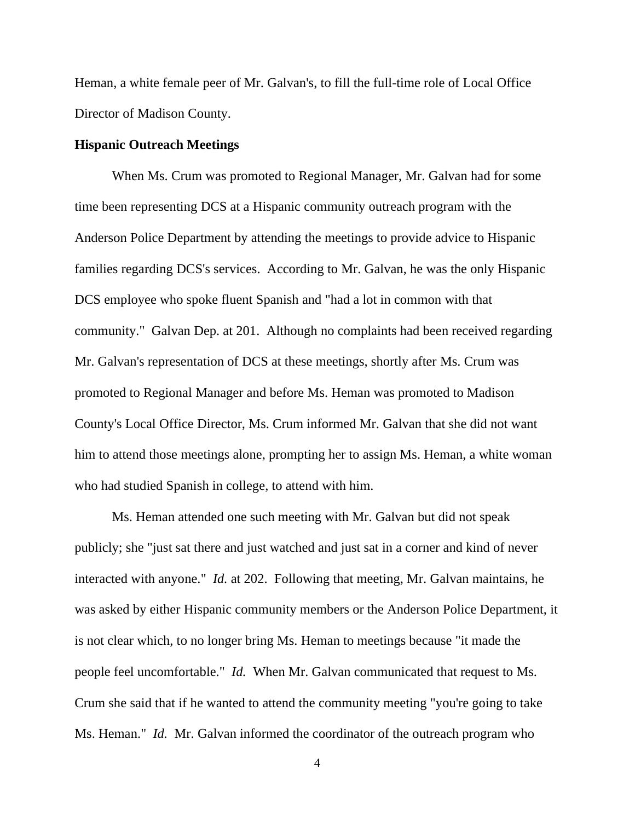Heman, a white female peer of Mr. Galvan's, to fill the full-time role of Local Office Director of Madison County.

#### **Hispanic Outreach Meetings**

When Ms. Crum was promoted to Regional Manager, Mr. Galvan had for some time been representing DCS at a Hispanic community outreach program with the Anderson Police Department by attending the meetings to provide advice to Hispanic families regarding DCS's services. According to Mr. Galvan, he was the only Hispanic DCS employee who spoke fluent Spanish and "had a lot in common with that community." Galvan Dep. at 201. Although no complaints had been received regarding Mr. Galvan's representation of DCS at these meetings, shortly after Ms. Crum was promoted to Regional Manager and before Ms. Heman was promoted to Madison County's Local Office Director, Ms. Crum informed Mr. Galvan that she did not want him to attend those meetings alone, prompting her to assign Ms. Heman, a white woman who had studied Spanish in college, to attend with him.

Ms. Heman attended one such meeting with Mr. Galvan but did not speak publicly; she "just sat there and just watched and just sat in a corner and kind of never interacted with anyone." *Id.* at 202. Following that meeting, Mr. Galvan maintains, he was asked by either Hispanic community members or the Anderson Police Department, it is not clear which, to no longer bring Ms. Heman to meetings because "it made the people feel uncomfortable." *Id.* When Mr. Galvan communicated that request to Ms. Crum she said that if he wanted to attend the community meeting "you're going to take Ms. Heman." *Id.* Mr. Galvan informed the coordinator of the outreach program who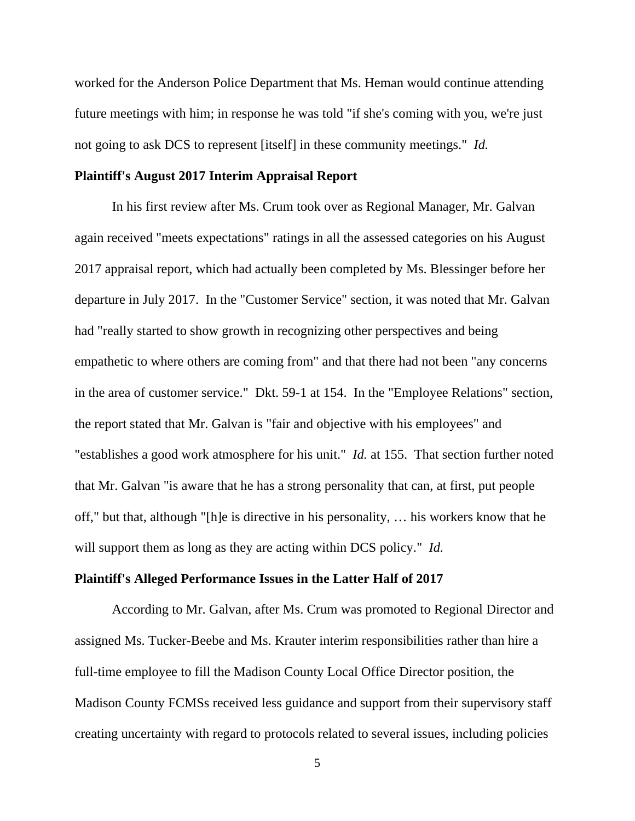worked for the Anderson Police Department that Ms. Heman would continue attending future meetings with him; in response he was told "if she's coming with you, we're just not going to ask DCS to represent [itself] in these community meetings." *Id.*

#### **Plaintiff's August 2017 Interim Appraisal Report**

In his first review after Ms. Crum took over as Regional Manager, Mr. Galvan again received "meets expectations" ratings in all the assessed categories on his August 2017 appraisal report, which had actually been completed by Ms. Blessinger before her departure in July 2017. In the "Customer Service" section, it was noted that Mr. Galvan had "really started to show growth in recognizing other perspectives and being empathetic to where others are coming from" and that there had not been "any concerns in the area of customer service." Dkt. 59-1 at 154. In the "Employee Relations" section, the report stated that Mr. Galvan is "fair and objective with his employees" and "establishes a good work atmosphere for his unit." *Id.* at 155. That section further noted that Mr. Galvan "is aware that he has a strong personality that can, at first, put people off," but that, although "[h]e is directive in his personality, … his workers know that he will support them as long as they are acting within DCS policy." *Id.*

# **Plaintiff's Alleged Performance Issues in the Latter Half of 2017**

According to Mr. Galvan, after Ms. Crum was promoted to Regional Director and assigned Ms. Tucker-Beebe and Ms. Krauter interim responsibilities rather than hire a full-time employee to fill the Madison County Local Office Director position, the Madison County FCMSs received less guidance and support from their supervisory staff creating uncertainty with regard to protocols related to several issues, including policies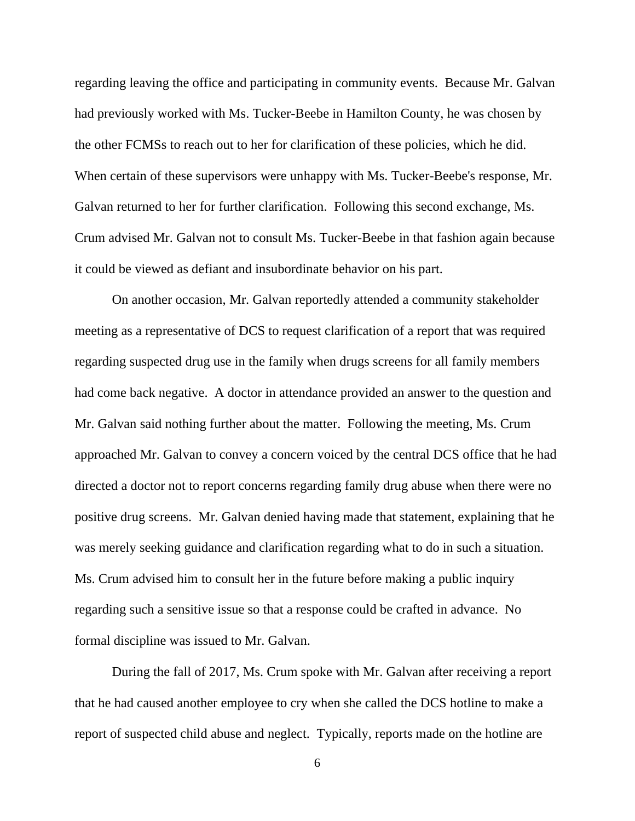regarding leaving the office and participating in community events. Because Mr. Galvan had previously worked with Ms. Tucker-Beebe in Hamilton County, he was chosen by the other FCMSs to reach out to her for clarification of these policies, which he did. When certain of these supervisors were unhappy with Ms. Tucker-Beebe's response, Mr. Galvan returned to her for further clarification. Following this second exchange, Ms. Crum advised Mr. Galvan not to consult Ms. Tucker-Beebe in that fashion again because it could be viewed as defiant and insubordinate behavior on his part.

On another occasion, Mr. Galvan reportedly attended a community stakeholder meeting as a representative of DCS to request clarification of a report that was required regarding suspected drug use in the family when drugs screens for all family members had come back negative. A doctor in attendance provided an answer to the question and Mr. Galvan said nothing further about the matter. Following the meeting, Ms. Crum approached Mr. Galvan to convey a concern voiced by the central DCS office that he had directed a doctor not to report concerns regarding family drug abuse when there were no positive drug screens. Mr. Galvan denied having made that statement, explaining that he was merely seeking guidance and clarification regarding what to do in such a situation. Ms. Crum advised him to consult her in the future before making a public inquiry regarding such a sensitive issue so that a response could be crafted in advance. No formal discipline was issued to Mr. Galvan.

During the fall of 2017, Ms. Crum spoke with Mr. Galvan after receiving a report that he had caused another employee to cry when she called the DCS hotline to make a report of suspected child abuse and neglect. Typically, reports made on the hotline are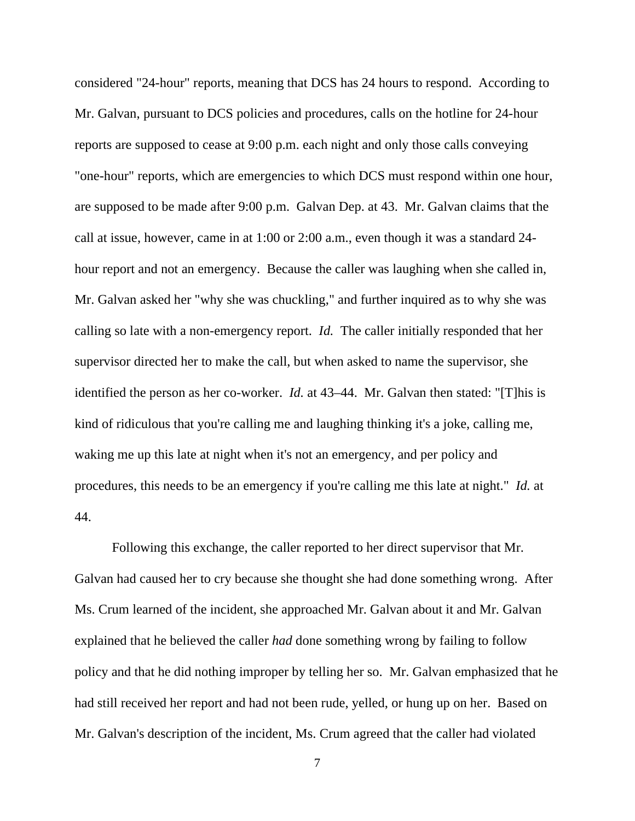considered "24-hour" reports, meaning that DCS has 24 hours to respond. According to Mr. Galvan, pursuant to DCS policies and procedures, calls on the hotline for 24-hour reports are supposed to cease at 9:00 p.m. each night and only those calls conveying "one-hour" reports, which are emergencies to which DCS must respond within one hour, are supposed to be made after 9:00 p.m. Galvan Dep. at 43. Mr. Galvan claims that the call at issue, however, came in at 1:00 or 2:00 a.m., even though it was a standard 24 hour report and not an emergency. Because the caller was laughing when she called in, Mr. Galvan asked her "why she was chuckling," and further inquired as to why she was calling so late with a non-emergency report. *Id.* The caller initially responded that her supervisor directed her to make the call, but when asked to name the supervisor, she identified the person as her co-worker. *Id.* at 43–44. Mr. Galvan then stated: "[T]his is kind of ridiculous that you're calling me and laughing thinking it's a joke, calling me, waking me up this late at night when it's not an emergency, and per policy and procedures, this needs to be an emergency if you're calling me this late at night." *Id.* at 44.

Following this exchange, the caller reported to her direct supervisor that Mr. Galvan had caused her to cry because she thought she had done something wrong. After Ms. Crum learned of the incident, she approached Mr. Galvan about it and Mr. Galvan explained that he believed the caller *had* done something wrong by failing to follow policy and that he did nothing improper by telling her so. Mr. Galvan emphasized that he had still received her report and had not been rude, yelled, or hung up on her. Based on Mr. Galvan's description of the incident, Ms. Crum agreed that the caller had violated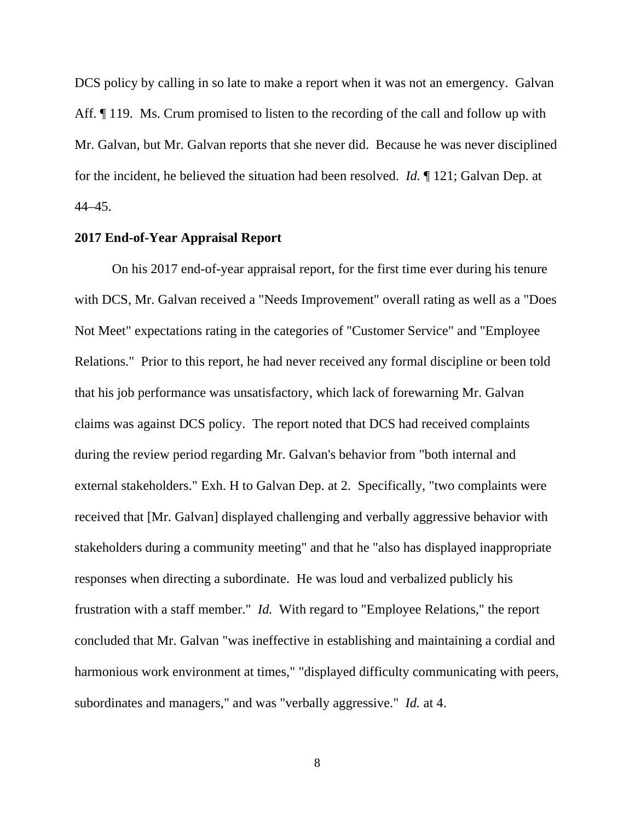DCS policy by calling in so late to make a report when it was not an emergency. Galvan Aff.  $\parallel$  119. Ms. Crum promised to listen to the recording of the call and follow up with Mr. Galvan, but Mr. Galvan reports that she never did. Because he was never disciplined for the incident, he believed the situation had been resolved. *Id.* ¶ 121; Galvan Dep. at 44–45.

# **2017 End-of-Year Appraisal Report**

On his 2017 end-of-year appraisal report, for the first time ever during his tenure with DCS, Mr. Galvan received a "Needs Improvement" overall rating as well as a "Does Not Meet" expectations rating in the categories of "Customer Service" and "Employee Relations." Prior to this report, he had never received any formal discipline or been told that his job performance was unsatisfactory, which lack of forewarning Mr. Galvan claims was against DCS policy. The report noted that DCS had received complaints during the review period regarding Mr. Galvan's behavior from "both internal and external stakeholders." Exh. H to Galvan Dep. at 2. Specifically, "two complaints were received that [Mr. Galvan] displayed challenging and verbally aggressive behavior with stakeholders during a community meeting" and that he "also has displayed inappropriate responses when directing a subordinate. He was loud and verbalized publicly his frustration with a staff member." *Id.* With regard to "Employee Relations," the report concluded that Mr. Galvan "was ineffective in establishing and maintaining a cordial and harmonious work environment at times," "displayed difficulty communicating with peers, subordinates and managers," and was "verbally aggressive." *Id.* at 4.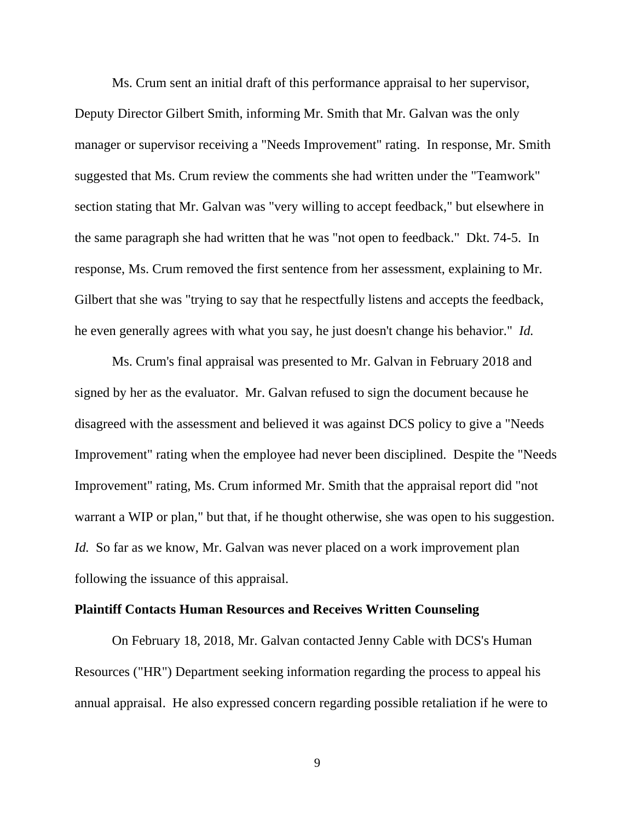Ms. Crum sent an initial draft of this performance appraisal to her supervisor, Deputy Director Gilbert Smith, informing Mr. Smith that Mr. Galvan was the only manager or supervisor receiving a "Needs Improvement" rating. In response, Mr. Smith suggested that Ms. Crum review the comments she had written under the "Teamwork" section stating that Mr. Galvan was "very willing to accept feedback," but elsewhere in the same paragraph she had written that he was "not open to feedback." Dkt. 74-5. In response, Ms. Crum removed the first sentence from her assessment, explaining to Mr. Gilbert that she was "trying to say that he respectfully listens and accepts the feedback, he even generally agrees with what you say, he just doesn't change his behavior." *Id.*

Ms. Crum's final appraisal was presented to Mr. Galvan in February 2018 and signed by her as the evaluator. Mr. Galvan refused to sign the document because he disagreed with the assessment and believed it was against DCS policy to give a "Needs Improvement" rating when the employee had never been disciplined. Despite the "Needs Improvement" rating, Ms. Crum informed Mr. Smith that the appraisal report did "not warrant a WIP or plan," but that, if he thought otherwise, she was open to his suggestion. *Id.* So far as we know, Mr. Galvan was never placed on a work improvement plan following the issuance of this appraisal.

# **Plaintiff Contacts Human Resources and Receives Written Counseling**

On February 18, 2018, Mr. Galvan contacted Jenny Cable with DCS's Human Resources ("HR") Department seeking information regarding the process to appeal his annual appraisal. He also expressed concern regarding possible retaliation if he were to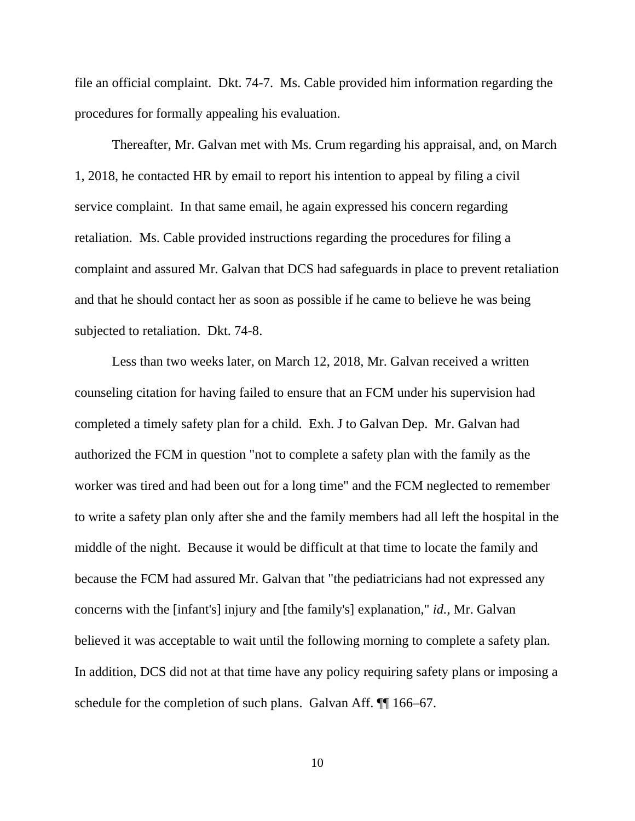file an official complaint. Dkt. 74-7. Ms. Cable provided him information regarding the procedures for formally appealing his evaluation.

Thereafter, Mr. Galvan met with Ms. Crum regarding his appraisal, and, on March 1, 2018, he contacted HR by email to report his intention to appeal by filing a civil service complaint. In that same email, he again expressed his concern regarding retaliation. Ms. Cable provided instructions regarding the procedures for filing a complaint and assured Mr. Galvan that DCS had safeguards in place to prevent retaliation and that he should contact her as soon as possible if he came to believe he was being subjected to retaliation. Dkt. 74-8.

Less than two weeks later, on March 12, 2018, Mr. Galvan received a written counseling citation for having failed to ensure that an FCM under his supervision had completed a timely safety plan for a child. Exh. J to Galvan Dep. Mr. Galvan had authorized the FCM in question "not to complete a safety plan with the family as the worker was tired and had been out for a long time" and the FCM neglected to remember to write a safety plan only after she and the family members had all left the hospital in the middle of the night. Because it would be difficult at that time to locate the family and because the FCM had assured Mr. Galvan that "the pediatricians had not expressed any concerns with the [infant's] injury and [the family's] explanation," *id.*, Mr. Galvan believed it was acceptable to wait until the following morning to complete a safety plan. In addition, DCS did not at that time have any policy requiring safety plans or imposing a schedule for the completion of such plans. Galvan Aff.  $\P$  166–67.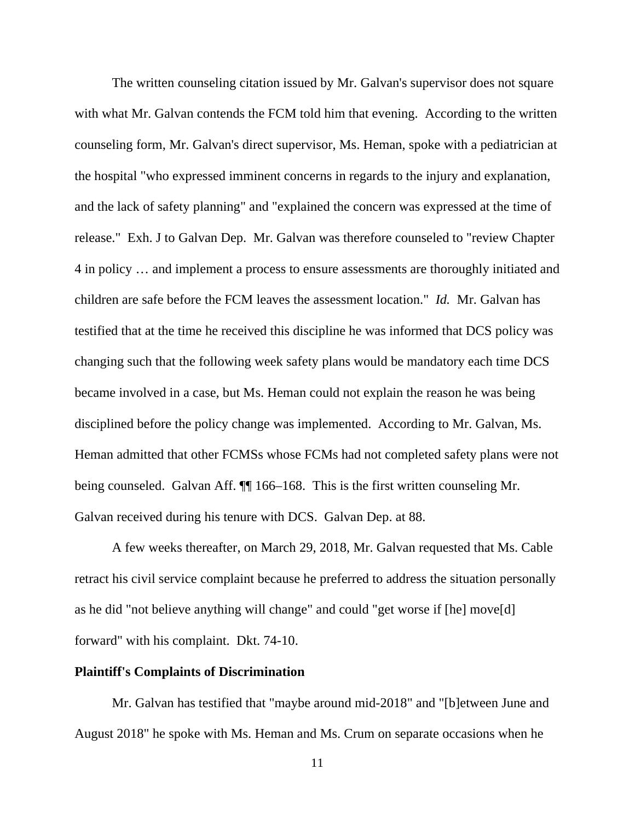The written counseling citation issued by Mr. Galvan's supervisor does not square with what Mr. Galvan contends the FCM told him that evening. According to the written counseling form, Mr. Galvan's direct supervisor, Ms. Heman, spoke with a pediatrician at the hospital "who expressed imminent concerns in regards to the injury and explanation, and the lack of safety planning" and "explained the concern was expressed at the time of release." Exh. J to Galvan Dep. Mr. Galvan was therefore counseled to "review Chapter 4 in policy … and implement a process to ensure assessments are thoroughly initiated and children are safe before the FCM leaves the assessment location." *Id.* Mr. Galvan has testified that at the time he received this discipline he was informed that DCS policy was changing such that the following week safety plans would be mandatory each time DCS became involved in a case, but Ms. Heman could not explain the reason he was being disciplined before the policy change was implemented. According to Mr. Galvan, Ms. Heman admitted that other FCMSs whose FCMs had not completed safety plans were not being counseled. Galvan Aff. ¶¶ 166–168. This is the first written counseling Mr. Galvan received during his tenure with DCS. Galvan Dep. at 88.

A few weeks thereafter, on March 29, 2018, Mr. Galvan requested that Ms. Cable retract his civil service complaint because he preferred to address the situation personally as he did "not believe anything will change" and could "get worse if [he] move[d] forward" with his complaint. Dkt. 74-10.

### **Plaintiff's Complaints of Discrimination**

Mr. Galvan has testified that "maybe around mid-2018" and "[b]etween June and August 2018" he spoke with Ms. Heman and Ms. Crum on separate occasions when he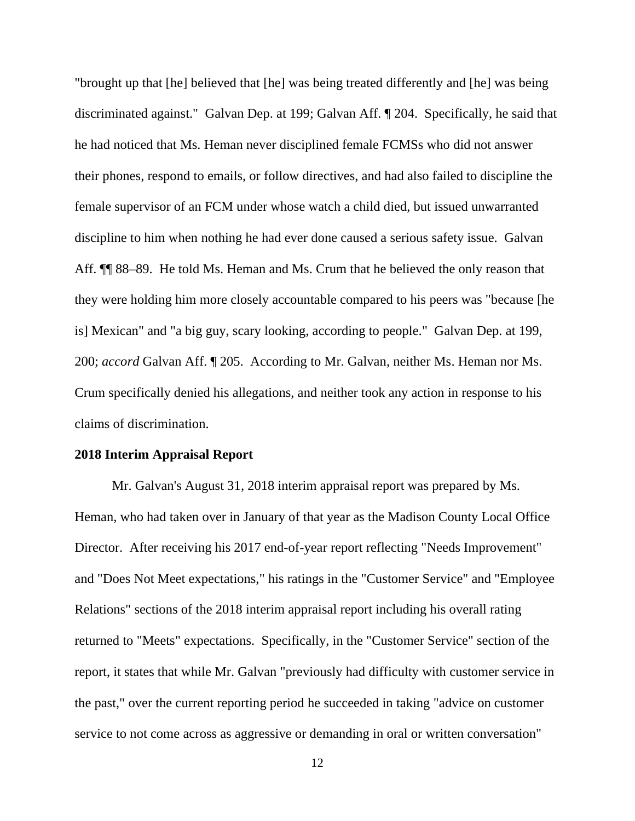"brought up that [he] believed that [he] was being treated differently and [he] was being discriminated against." Galvan Dep. at 199; Galvan Aff. ¶ 204. Specifically, he said that he had noticed that Ms. Heman never disciplined female FCMSs who did not answer their phones, respond to emails, or follow directives, and had also failed to discipline the female supervisor of an FCM under whose watch a child died, but issued unwarranted discipline to him when nothing he had ever done caused a serious safety issue. Galvan Aff. ¶¶ 88–89. He told Ms. Heman and Ms. Crum that he believed the only reason that they were holding him more closely accountable compared to his peers was "because [he is] Mexican" and "a big guy, scary looking, according to people." Galvan Dep. at 199, 200; *accord* Galvan Aff. ¶ 205. According to Mr. Galvan, neither Ms. Heman nor Ms. Crum specifically denied his allegations, and neither took any action in response to his claims of discrimination.

#### **2018 Interim Appraisal Report**

Mr. Galvan's August 31, 2018 interim appraisal report was prepared by Ms. Heman, who had taken over in January of that year as the Madison County Local Office Director. After receiving his 2017 end-of-year report reflecting "Needs Improvement" and "Does Not Meet expectations," his ratings in the "Customer Service" and "Employee Relations" sections of the 2018 interim appraisal report including his overall rating returned to "Meets" expectations. Specifically, in the "Customer Service" section of the report, it states that while Mr. Galvan "previously had difficulty with customer service in the past," over the current reporting period he succeeded in taking "advice on customer service to not come across as aggressive or demanding in oral or written conversation"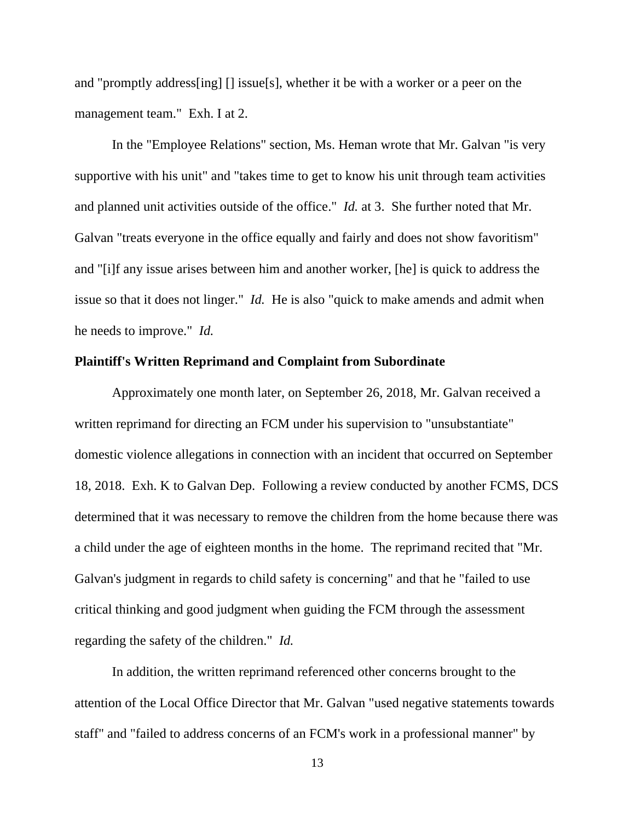and "promptly address[ing] [] issue[s], whether it be with a worker or a peer on the management team." Exh. I at 2.

In the "Employee Relations" section, Ms. Heman wrote that Mr. Galvan "is very supportive with his unit" and "takes time to get to know his unit through team activities and planned unit activities outside of the office." *Id.* at 3. She further noted that Mr. Galvan "treats everyone in the office equally and fairly and does not show favoritism" and "[i]f any issue arises between him and another worker, [he] is quick to address the issue so that it does not linger." *Id.* He is also "quick to make amends and admit when he needs to improve." *Id.*

#### **Plaintiff's Written Reprimand and Complaint from Subordinate**

Approximately one month later, on September 26, 2018, Mr. Galvan received a written reprimand for directing an FCM under his supervision to "unsubstantiate" domestic violence allegations in connection with an incident that occurred on September 18, 2018. Exh. K to Galvan Dep. Following a review conducted by another FCMS, DCS determined that it was necessary to remove the children from the home because there was a child under the age of eighteen months in the home. The reprimand recited that "Mr. Galvan's judgment in regards to child safety is concerning" and that he "failed to use critical thinking and good judgment when guiding the FCM through the assessment regarding the safety of the children." *Id.*

In addition, the written reprimand referenced other concerns brought to the attention of the Local Office Director that Mr. Galvan "used negative statements towards staff" and "failed to address concerns of an FCM's work in a professional manner" by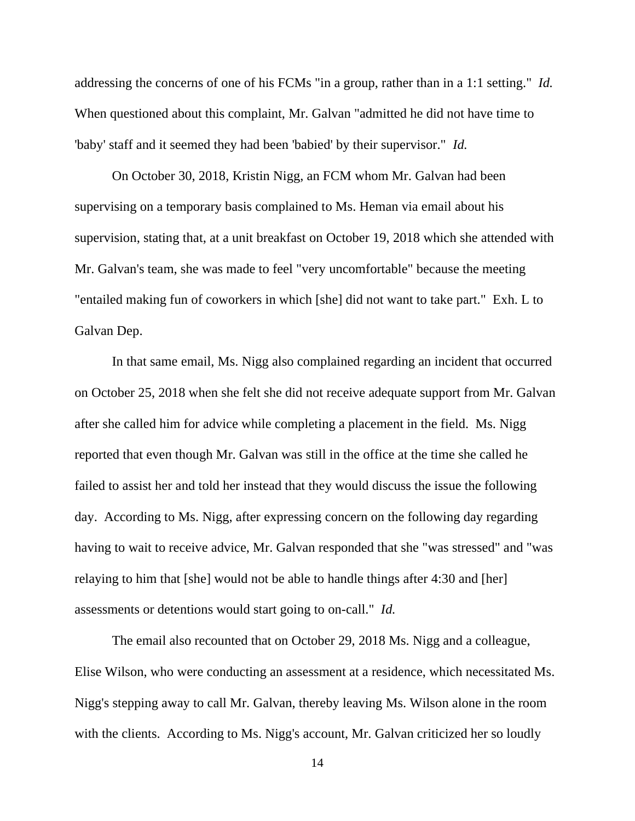addressing the concerns of one of his FCMs "in a group, rather than in a 1:1 setting." *Id.* When questioned about this complaint, Mr. Galvan "admitted he did not have time to 'baby' staff and it seemed they had been 'babied' by their supervisor." *Id.*

On October 30, 2018, Kristin Nigg, an FCM whom Mr. Galvan had been supervising on a temporary basis complained to Ms. Heman via email about his supervision, stating that, at a unit breakfast on October 19, 2018 which she attended with Mr. Galvan's team, she was made to feel "very uncomfortable" because the meeting "entailed making fun of coworkers in which [she] did not want to take part." Exh. L to Galvan Dep.

In that same email, Ms. Nigg also complained regarding an incident that occurred on October 25, 2018 when she felt she did not receive adequate support from Mr. Galvan after she called him for advice while completing a placement in the field. Ms. Nigg reported that even though Mr. Galvan was still in the office at the time she called he failed to assist her and told her instead that they would discuss the issue the following day. According to Ms. Nigg, after expressing concern on the following day regarding having to wait to receive advice, Mr. Galvan responded that she "was stressed" and "was relaying to him that [she] would not be able to handle things after 4:30 and [her] assessments or detentions would start going to on-call." *Id.*

The email also recounted that on October 29, 2018 Ms. Nigg and a colleague, Elise Wilson, who were conducting an assessment at a residence, which necessitated Ms. Nigg's stepping away to call Mr. Galvan, thereby leaving Ms. Wilson alone in the room with the clients. According to Ms. Nigg's account, Mr. Galvan criticized her so loudly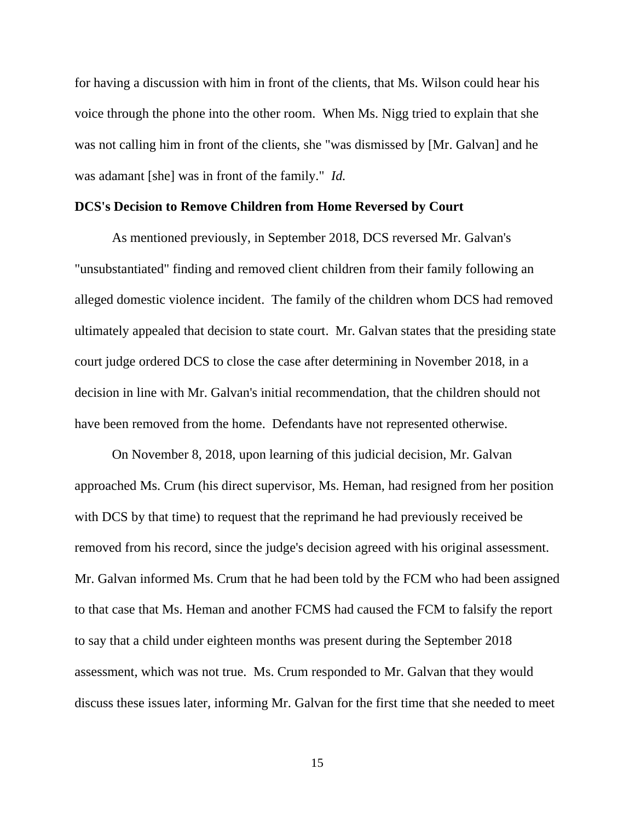for having a discussion with him in front of the clients, that Ms. Wilson could hear his voice through the phone into the other room. When Ms. Nigg tried to explain that she was not calling him in front of the clients, she "was dismissed by [Mr. Galvan] and he was adamant [she] was in front of the family." *Id.*

### **DCS's Decision to Remove Children from Home Reversed by Court**

As mentioned previously, in September 2018, DCS reversed Mr. Galvan's "unsubstantiated" finding and removed client children from their family following an alleged domestic violence incident. The family of the children whom DCS had removed ultimately appealed that decision to state court. Mr. Galvan states that the presiding state court judge ordered DCS to close the case after determining in November 2018, in a decision in line with Mr. Galvan's initial recommendation, that the children should not have been removed from the home. Defendants have not represented otherwise.

On November 8, 2018, upon learning of this judicial decision, Mr. Galvan approached Ms. Crum (his direct supervisor, Ms. Heman, had resigned from her position with DCS by that time) to request that the reprimand he had previously received be removed from his record, since the judge's decision agreed with his original assessment. Mr. Galvan informed Ms. Crum that he had been told by the FCM who had been assigned to that case that Ms. Heman and another FCMS had caused the FCM to falsify the report to say that a child under eighteen months was present during the September 2018 assessment, which was not true. Ms. Crum responded to Mr. Galvan that they would discuss these issues later, informing Mr. Galvan for the first time that she needed to meet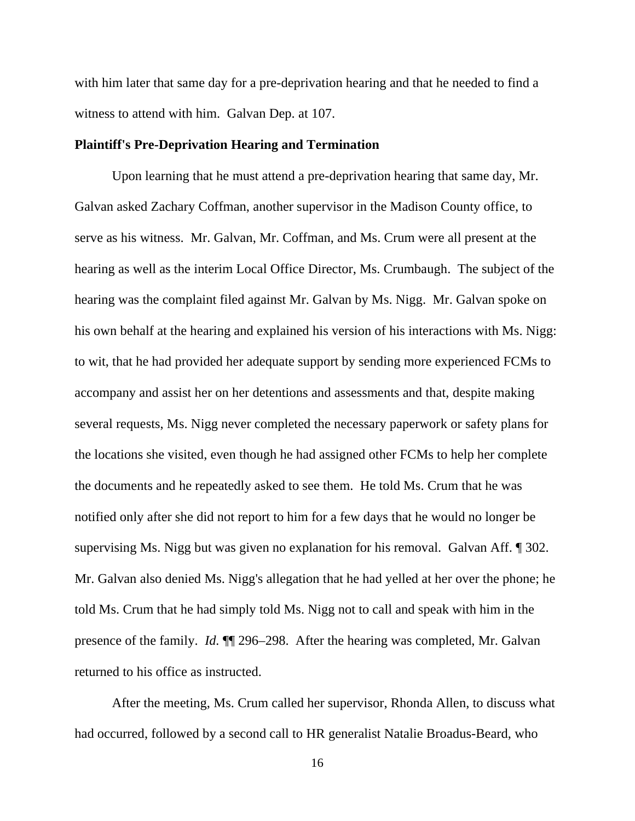with him later that same day for a pre-deprivation hearing and that he needed to find a witness to attend with him. Galvan Dep. at 107.

# **Plaintiff's Pre-Deprivation Hearing and Termination**

Upon learning that he must attend a pre-deprivation hearing that same day, Mr. Galvan asked Zachary Coffman, another supervisor in the Madison County office, to serve as his witness. Mr. Galvan, Mr. Coffman, and Ms. Crum were all present at the hearing as well as the interim Local Office Director, Ms. Crumbaugh. The subject of the hearing was the complaint filed against Mr. Galvan by Ms. Nigg. Mr. Galvan spoke on his own behalf at the hearing and explained his version of his interactions with Ms. Nigg: to wit, that he had provided her adequate support by sending more experienced FCMs to accompany and assist her on her detentions and assessments and that, despite making several requests, Ms. Nigg never completed the necessary paperwork or safety plans for the locations she visited, even though he had assigned other FCMs to help her complete the documents and he repeatedly asked to see them. He told Ms. Crum that he was notified only after she did not report to him for a few days that he would no longer be supervising Ms. Nigg but was given no explanation for his removal. Galvan Aff. ¶ 302. Mr. Galvan also denied Ms. Nigg's allegation that he had yelled at her over the phone; he told Ms. Crum that he had simply told Ms. Nigg not to call and speak with him in the presence of the family. *Id.* ¶¶ 296–298. After the hearing was completed, Mr. Galvan returned to his office as instructed.

After the meeting, Ms. Crum called her supervisor, Rhonda Allen, to discuss what had occurred, followed by a second call to HR generalist Natalie Broadus-Beard, who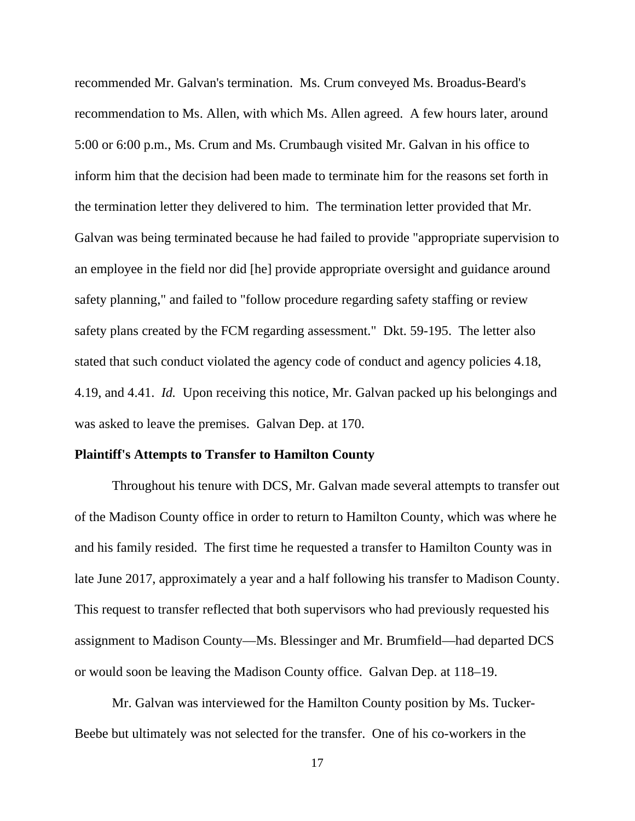recommended Mr. Galvan's termination. Ms. Crum conveyed Ms. Broadus-Beard's recommendation to Ms. Allen, with which Ms. Allen agreed. A few hours later, around 5:00 or 6:00 p.m., Ms. Crum and Ms. Crumbaugh visited Mr. Galvan in his office to inform him that the decision had been made to terminate him for the reasons set forth in the termination letter they delivered to him. The termination letter provided that Mr. Galvan was being terminated because he had failed to provide "appropriate supervision to an employee in the field nor did [he] provide appropriate oversight and guidance around safety planning," and failed to "follow procedure regarding safety staffing or review safety plans created by the FCM regarding assessment." Dkt. 59-195. The letter also stated that such conduct violated the agency code of conduct and agency policies 4.18, 4.19, and 4.41. *Id.* Upon receiving this notice, Mr. Galvan packed up his belongings and was asked to leave the premises. Galvan Dep. at 170.

#### **Plaintiff's Attempts to Transfer to Hamilton County**

Throughout his tenure with DCS, Mr. Galvan made several attempts to transfer out of the Madison County office in order to return to Hamilton County, which was where he and his family resided. The first time he requested a transfer to Hamilton County was in late June 2017, approximately a year and a half following his transfer to Madison County. This request to transfer reflected that both supervisors who had previously requested his assignment to Madison County—Ms. Blessinger and Mr. Brumfield—had departed DCS or would soon be leaving the Madison County office. Galvan Dep. at 118–19.

Mr. Galvan was interviewed for the Hamilton County position by Ms. Tucker-Beebe but ultimately was not selected for the transfer. One of his co-workers in the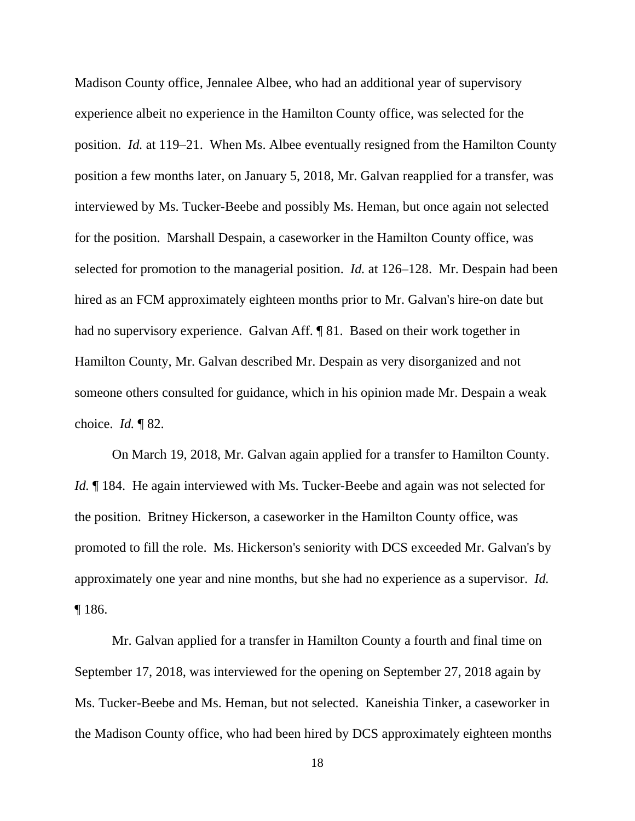Madison County office, Jennalee Albee, who had an additional year of supervisory experience albeit no experience in the Hamilton County office, was selected for the position. *Id.* at 119–21. When Ms. Albee eventually resigned from the Hamilton County position a few months later, on January 5, 2018, Mr. Galvan reapplied for a transfer, was interviewed by Ms. Tucker-Beebe and possibly Ms. Heman, but once again not selected for the position. Marshall Despain, a caseworker in the Hamilton County office, was selected for promotion to the managerial position. *Id.* at 126–128. Mr. Despain had been hired as an FCM approximately eighteen months prior to Mr. Galvan's hire-on date but had no supervisory experience. Galvan Aff. ¶ 81. Based on their work together in Hamilton County, Mr. Galvan described Mr. Despain as very disorganized and not someone others consulted for guidance, which in his opinion made Mr. Despain a weak choice. *Id.* ¶ 82.

On March 19, 2018, Mr. Galvan again applied for a transfer to Hamilton County. *Id.* 184. He again interviewed with Ms. Tucker-Beebe and again was not selected for the position. Britney Hickerson, a caseworker in the Hamilton County office, was promoted to fill the role. Ms. Hickerson's seniority with DCS exceeded Mr. Galvan's by approximately one year and nine months, but she had no experience as a supervisor. *Id.* ¶ 186.

Mr. Galvan applied for a transfer in Hamilton County a fourth and final time on September 17, 2018, was interviewed for the opening on September 27, 2018 again by Ms. Tucker-Beebe and Ms. Heman, but not selected. Kaneishia Tinker, a caseworker in the Madison County office, who had been hired by DCS approximately eighteen months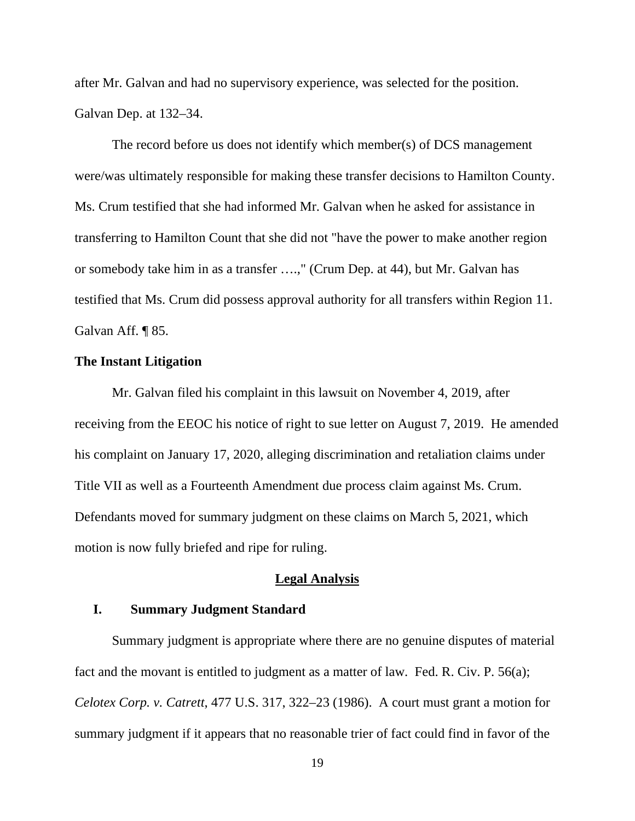after Mr. Galvan and had no supervisory experience, was selected for the position. Galvan Dep. at 132–34.

The record before us does not identify which member(s) of DCS management were/was ultimately responsible for making these transfer decisions to Hamilton County. Ms. Crum testified that she had informed Mr. Galvan when he asked for assistance in transferring to Hamilton Count that she did not "have the power to make another region or somebody take him in as a transfer ….," (Crum Dep. at 44), but Mr. Galvan has testified that Ms. Crum did possess approval authority for all transfers within Region 11. Galvan Aff. ¶ 85.

# **The Instant Litigation**

Mr. Galvan filed his complaint in this lawsuit on November 4, 2019, after receiving from the EEOC his notice of right to sue letter on August 7, 2019. He amended his complaint on January 17, 2020, alleging discrimination and retaliation claims under Title VII as well as a Fourteenth Amendment due process claim against Ms. Crum. Defendants moved for summary judgment on these claims on March 5, 2021, which motion is now fully briefed and ripe for ruling.

# **Legal Analysis**

# **I. Summary Judgment Standard**

Summary judgment is appropriate where there are no genuine disputes of material fact and the movant is entitled to judgment as a matter of law. Fed. R. Civ. P. 56(a); *Celotex Corp. v. Catrett*, 477 U.S. 317, 322–23 (1986). A court must grant a motion for summary judgment if it appears that no reasonable trier of fact could find in favor of the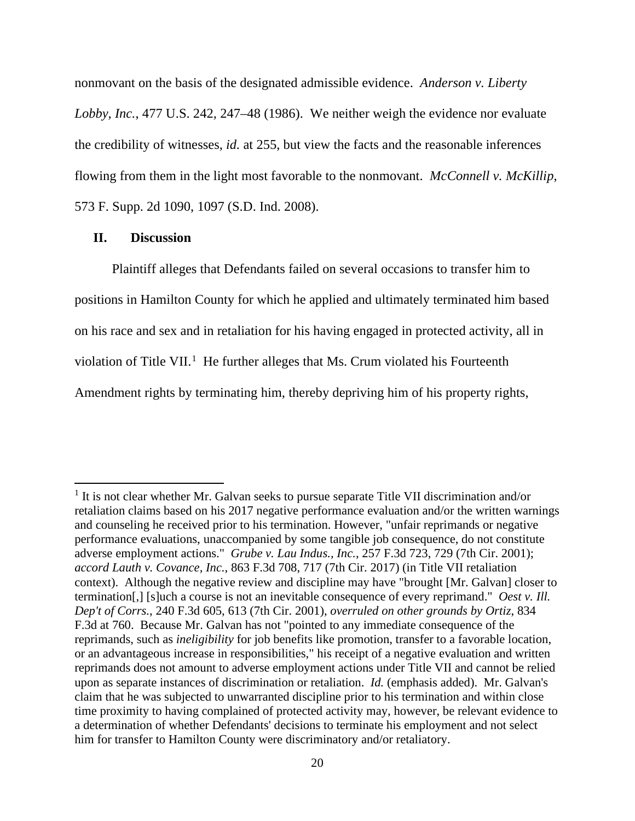nonmovant on the basis of the designated admissible evidence. *Anderson v. Liberty Lobby, Inc.*, 477 U.S. 242, 247–48 (1986). We neither weigh the evidence nor evaluate the credibility of witnesses, *id.* at 255, but view the facts and the reasonable inferences flowing from them in the light most favorable to the nonmovant. *McConnell v. McKillip*, 573 F. Supp. 2d 1090, 1097 (S.D. Ind. 2008).

## **II. Discussion**

Plaintiff alleges that Defendants failed on several occasions to transfer him to positions in Hamilton County for which he applied and ultimately terminated him based on his race and sex and in retaliation for his having engaged in protected activity, all in violation of Title VII.<sup>[1](#page-19-0)</sup> He further alleges that Ms. Crum violated his Fourteenth Amendment rights by terminating him, thereby depriving him of his property rights,

<span id="page-19-0"></span><sup>&</sup>lt;sup>1</sup> It is not clear whether Mr. Galvan seeks to pursue separate Title VII discrimination and/or retaliation claims based on his 2017 negative performance evaluation and/or the written warnings and counseling he received prior to his termination. However, "unfair reprimands or negative performance evaluations, unaccompanied by some tangible job consequence, do not constitute adverse employment actions." *Grube v. Lau Indus., Inc.*, 257 F.3d 723, 729 (7th Cir. 2001); *accord Lauth v. Covance, Inc.*, 863 F.3d 708, 717 (7th Cir. 2017) (in Title VII retaliation context). Although the negative review and discipline may have "brought [Mr. Galvan] closer to termination[,] [s]uch a course is not an inevitable consequence of every reprimand." *Oest v. Ill. Dep't of Corrs.*, 240 F.3d 605, 613 (7th Cir. 2001), *overruled on other grounds by Ortiz*, 834 F.3d at 760. Because Mr. Galvan has not "pointed to any immediate consequence of the reprimands, such as *ineligibility* for job benefits like promotion, transfer to a favorable location, or an advantageous increase in responsibilities," his receipt of a negative evaluation and written reprimands does not amount to adverse employment actions under Title VII and cannot be relied upon as separate instances of discrimination or retaliation. *Id.* (emphasis added). Mr. Galvan's claim that he was subjected to unwarranted discipline prior to his termination and within close time proximity to having complained of protected activity may, however, be relevant evidence to a determination of whether Defendants' decisions to terminate his employment and not select him for transfer to Hamilton County were discriminatory and/or retaliatory.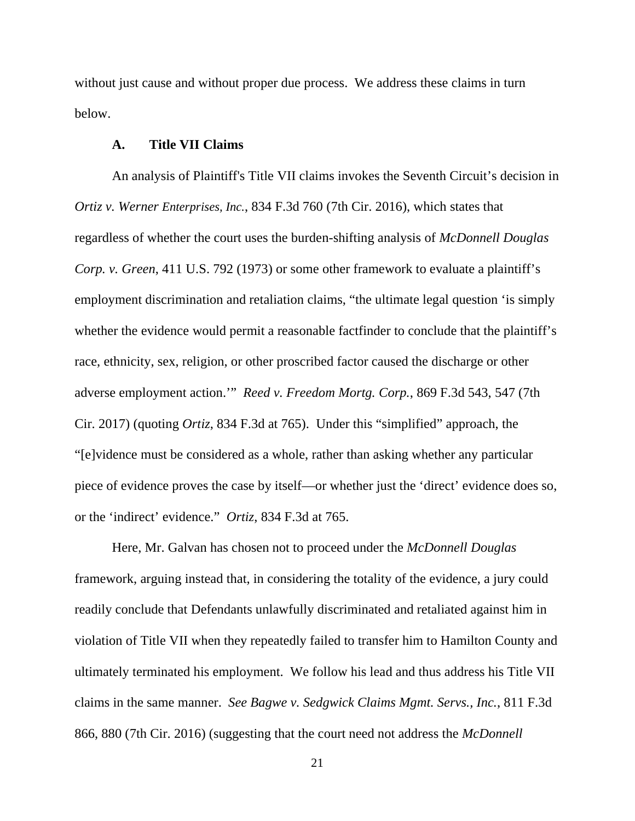without just cause and without proper due process. We address these claims in turn below.

# **A. Title VII Claims**

An analysis of Plaintiff's Title VII claims invokes the Seventh Circuit's decision in *Ortiz v. Werner Enterprises, Inc.*, 834 F.3d 760 (7th Cir. 2016), which states that regardless of whether the court uses the burden-shifting analysis of *McDonnell Douglas Corp. v. Green*, 411 U.S. 792 (1973) or some other framework to evaluate a plaintiff's employment discrimination and retaliation claims, "the ultimate legal question 'is simply whether the evidence would permit a reasonable factfinder to conclude that the plaintiff's race, ethnicity, sex, religion, or other proscribed factor caused the discharge or other adverse employment action.'" *Reed v. Freedom Mortg. Corp.*, 869 F.3d 543, 547 (7th Cir. 2017) (quoting *Ortiz*, 834 F.3d at 765). Under this "simplified" approach, the "[e]vidence must be considered as a whole, rather than asking whether any particular piece of evidence proves the case by itself—or whether just the 'direct' evidence does so, or the 'indirect' evidence." *Ortiz*, 834 F.3d at 765.

Here, Mr. Galvan has chosen not to proceed under the *McDonnell Douglas* framework, arguing instead that, in considering the totality of the evidence, a jury could readily conclude that Defendants unlawfully discriminated and retaliated against him in violation of Title VII when they repeatedly failed to transfer him to Hamilton County and ultimately terminated his employment. We follow his lead and thus address his Title VII claims in the same manner. *See Bagwe v. Sedgwick Claims Mgmt. Servs., Inc.*, 811 F.3d 866, 880 (7th Cir. 2016) (suggesting that the court need not address the *McDonnell*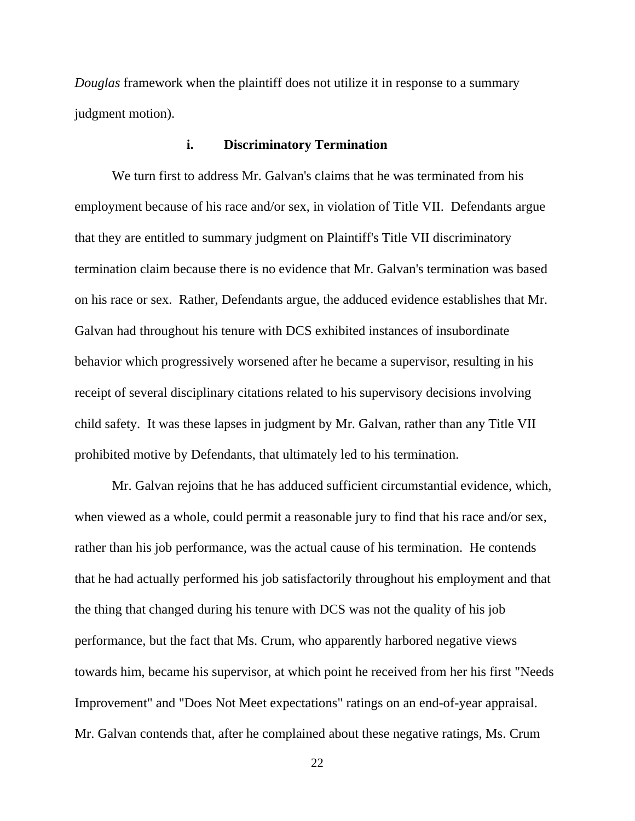*Douglas* framework when the plaintiff does not utilize it in response to a summary judgment motion).

# **i. Discriminatory Termination**

We turn first to address Mr. Galvan's claims that he was terminated from his employment because of his race and/or sex, in violation of Title VII. Defendants argue that they are entitled to summary judgment on Plaintiff's Title VII discriminatory termination claim because there is no evidence that Mr. Galvan's termination was based on his race or sex. Rather, Defendants argue, the adduced evidence establishes that Mr. Galvan had throughout his tenure with DCS exhibited instances of insubordinate behavior which progressively worsened after he became a supervisor, resulting in his receipt of several disciplinary citations related to his supervisory decisions involving child safety. It was these lapses in judgment by Mr. Galvan, rather than any Title VII prohibited motive by Defendants, that ultimately led to his termination.

Mr. Galvan rejoins that he has adduced sufficient circumstantial evidence, which, when viewed as a whole, could permit a reasonable jury to find that his race and/or sex, rather than his job performance, was the actual cause of his termination. He contends that he had actually performed his job satisfactorily throughout his employment and that the thing that changed during his tenure with DCS was not the quality of his job performance, but the fact that Ms. Crum, who apparently harbored negative views towards him, became his supervisor, at which point he received from her his first "Needs Improvement" and "Does Not Meet expectations" ratings on an end-of-year appraisal. Mr. Galvan contends that, after he complained about these negative ratings, Ms. Crum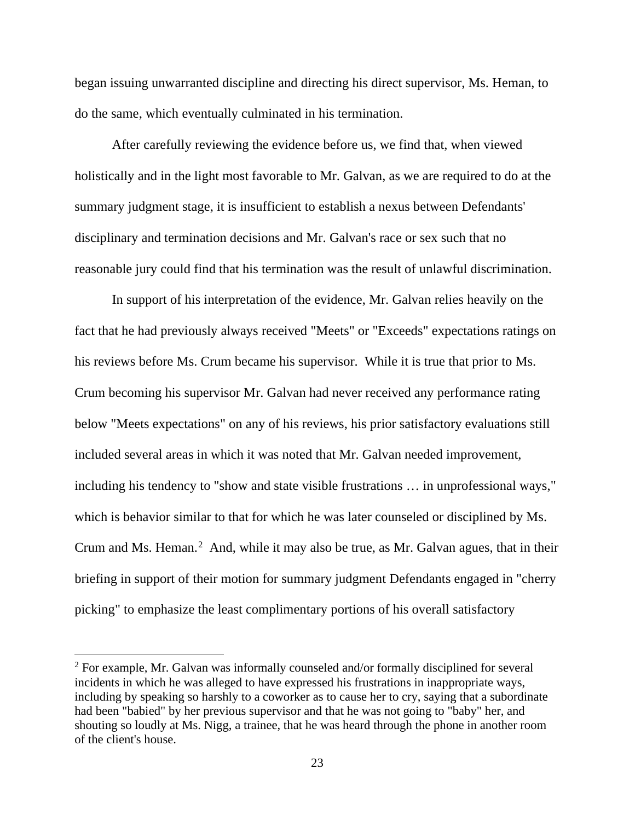began issuing unwarranted discipline and directing his direct supervisor, Ms. Heman, to do the same, which eventually culminated in his termination.

After carefully reviewing the evidence before us, we find that, when viewed holistically and in the light most favorable to Mr. Galvan, as we are required to do at the summary judgment stage, it is insufficient to establish a nexus between Defendants' disciplinary and termination decisions and Mr. Galvan's race or sex such that no reasonable jury could find that his termination was the result of unlawful discrimination.

In support of his interpretation of the evidence, Mr. Galvan relies heavily on the fact that he had previously always received "Meets" or "Exceeds" expectations ratings on his reviews before Ms. Crum became his supervisor. While it is true that prior to Ms. Crum becoming his supervisor Mr. Galvan had never received any performance rating below "Meets expectations" on any of his reviews, his prior satisfactory evaluations still included several areas in which it was noted that Mr. Galvan needed improvement, including his tendency to "show and state visible frustrations … in unprofessional ways," which is behavior similar to that for which he was later counseled or disciplined by Ms. Crum and Ms. Heman. $<sup>2</sup>$  $<sup>2</sup>$  $<sup>2</sup>$  And, while it may also be true, as Mr. Galvan agues, that in their</sup> briefing in support of their motion for summary judgment Defendants engaged in "cherry picking" to emphasize the least complimentary portions of his overall satisfactory

<span id="page-22-0"></span> $2$  For example, Mr. Galvan was informally counseled and/or formally disciplined for several incidents in which he was alleged to have expressed his frustrations in inappropriate ways, including by speaking so harshly to a coworker as to cause her to cry, saying that a subordinate had been "babied" by her previous supervisor and that he was not going to "baby" her, and shouting so loudly at Ms. Nigg, a trainee, that he was heard through the phone in another room of the client's house.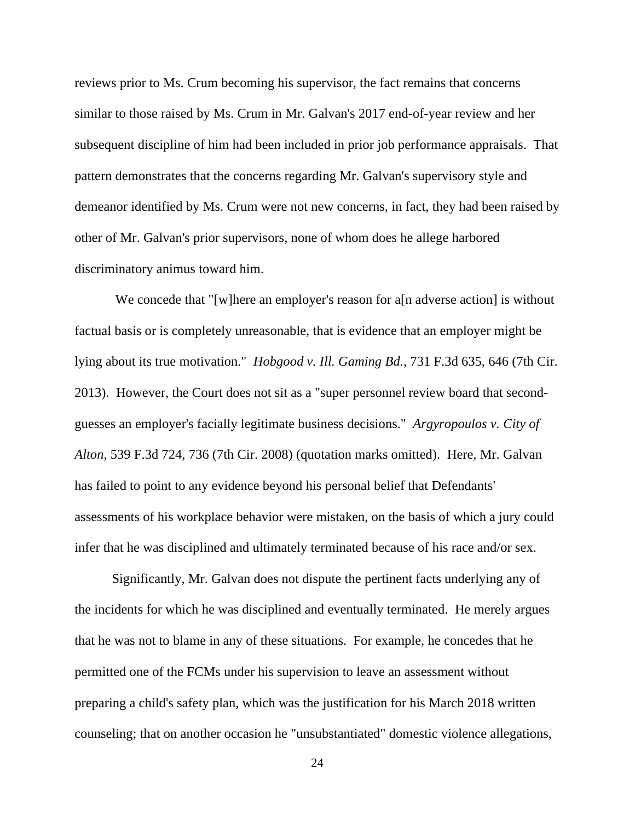reviews prior to Ms. Crum becoming his supervisor, the fact remains that concerns similar to those raised by Ms. Crum in Mr. Galvan's 2017 end-of-year review and her subsequent discipline of him had been included in prior job performance appraisals. That pattern demonstrates that the concerns regarding Mr. Galvan's supervisory style and demeanor identified by Ms. Crum were not new concerns, in fact, they had been raised by other of Mr. Galvan's prior supervisors, none of whom does he allege harbored discriminatory animus toward him.

We concede that "[w]here an employer's reason for a[n adverse action] is without factual basis or is completely unreasonable, that is evidence that an employer might be lying about its true motivation." *Hobgood v. Ill. Gaming Bd.*, 731 F.3d 635, 646 (7th Cir. 2013). However, the Court does not sit as a "super personnel review board that secondguesses an employer's facially legitimate business decisions." *Argyropoulos v. City of Alton*, 539 F.3d 724, 736 (7th Cir. 2008) (quotation marks omitted). Here, Mr. Galvan has failed to point to any evidence beyond his personal belief that Defendants' assessments of his workplace behavior were mistaken, on the basis of which a jury could infer that he was disciplined and ultimately terminated because of his race and/or sex.

Significantly, Mr. Galvan does not dispute the pertinent facts underlying any of the incidents for which he was disciplined and eventually terminated. He merely argues that he was not to blame in any of these situations. For example, he concedes that he permitted one of the FCMs under his supervision to leave an assessment without preparing a child's safety plan, which was the justification for his March 2018 written counseling; that on another occasion he "unsubstantiated" domestic violence allegations,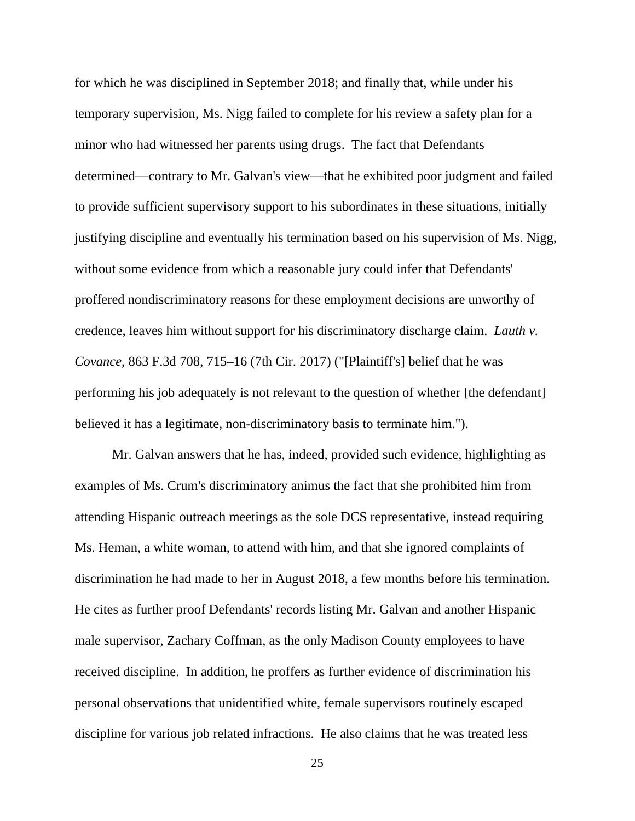for which he was disciplined in September 2018; and finally that, while under his temporary supervision, Ms. Nigg failed to complete for his review a safety plan for a minor who had witnessed her parents using drugs. The fact that Defendants determined—contrary to Mr. Galvan's view—that he exhibited poor judgment and failed to provide sufficient supervisory support to his subordinates in these situations, initially justifying discipline and eventually his termination based on his supervision of Ms. Nigg, without some evidence from which a reasonable jury could infer that Defendants' proffered nondiscriminatory reasons for these employment decisions are unworthy of credence, leaves him without support for his discriminatory discharge claim. *Lauth v. Covance*, 863 F.3d 708, 715–16 (7th Cir. 2017) ("[Plaintiff's] belief that he was performing his job adequately is not relevant to the question of whether [the defendant] believed it has a legitimate, non-discriminatory basis to terminate him.").

Mr. Galvan answers that he has, indeed, provided such evidence, highlighting as examples of Ms. Crum's discriminatory animus the fact that she prohibited him from attending Hispanic outreach meetings as the sole DCS representative, instead requiring Ms. Heman, a white woman, to attend with him, and that she ignored complaints of discrimination he had made to her in August 2018, a few months before his termination. He cites as further proof Defendants' records listing Mr. Galvan and another Hispanic male supervisor, Zachary Coffman, as the only Madison County employees to have received discipline. In addition, he proffers as further evidence of discrimination his personal observations that unidentified white, female supervisors routinely escaped discipline for various job related infractions. He also claims that he was treated less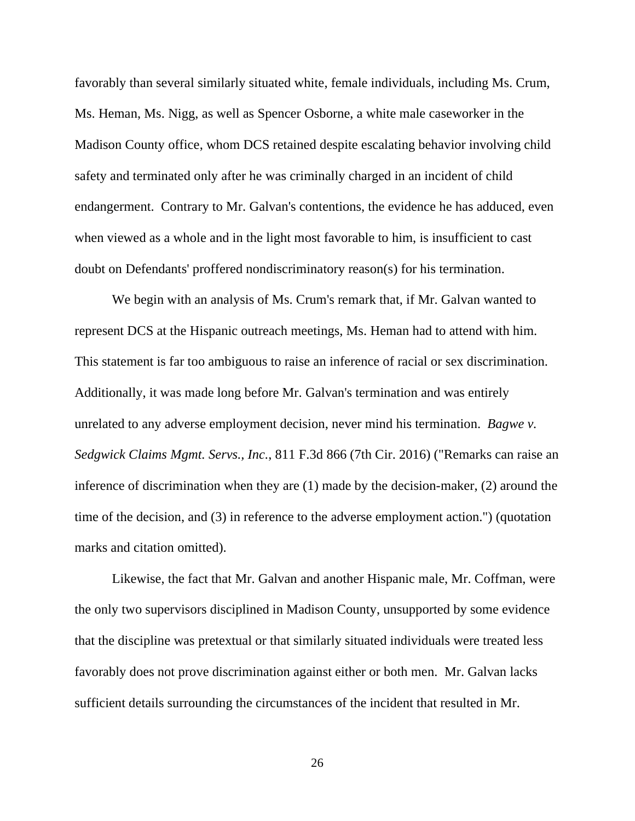favorably than several similarly situated white, female individuals, including Ms. Crum, Ms. Heman, Ms. Nigg, as well as Spencer Osborne, a white male caseworker in the Madison County office, whom DCS retained despite escalating behavior involving child safety and terminated only after he was criminally charged in an incident of child endangerment. Contrary to Mr. Galvan's contentions, the evidence he has adduced, even when viewed as a whole and in the light most favorable to him, is insufficient to cast doubt on Defendants' proffered nondiscriminatory reason(s) for his termination.

We begin with an analysis of Ms. Crum's remark that, if Mr. Galvan wanted to represent DCS at the Hispanic outreach meetings, Ms. Heman had to attend with him. This statement is far too ambiguous to raise an inference of racial or sex discrimination. Additionally, it was made long before Mr. Galvan's termination and was entirely unrelated to any adverse employment decision, never mind his termination. *Bagwe v. Sedgwick Claims Mgmt. Servs., Inc.*, 811 F.3d 866 (7th Cir. 2016) ("Remarks can raise an inference of discrimination when they are (1) made by the decision-maker, (2) around the time of the decision, and (3) in reference to the adverse employment action.") (quotation marks and citation omitted).

Likewise, the fact that Mr. Galvan and another Hispanic male, Mr. Coffman, were the only two supervisors disciplined in Madison County, unsupported by some evidence that the discipline was pretextual or that similarly situated individuals were treated less favorably does not prove discrimination against either or both men. Mr. Galvan lacks sufficient details surrounding the circumstances of the incident that resulted in Mr.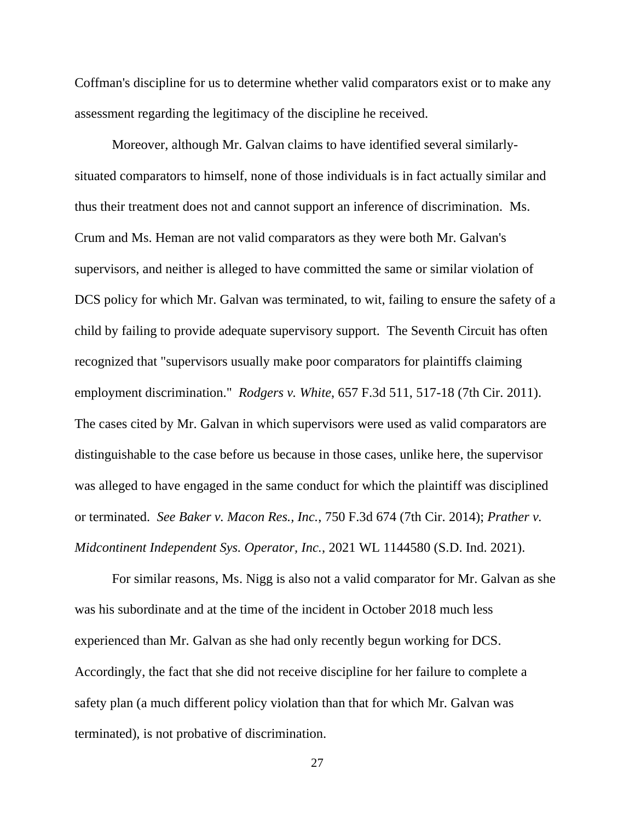Coffman's discipline for us to determine whether valid comparators exist or to make any assessment regarding the legitimacy of the discipline he received.

Moreover, although Mr. Galvan claims to have identified several similarlysituated comparators to himself, none of those individuals is in fact actually similar and thus their treatment does not and cannot support an inference of discrimination. Ms. Crum and Ms. Heman are not valid comparators as they were both Mr. Galvan's supervisors, and neither is alleged to have committed the same or similar violation of DCS policy for which Mr. Galvan was terminated, to wit, failing to ensure the safety of a child by failing to provide adequate supervisory support. The Seventh Circuit has often recognized that "supervisors usually make poor comparators for plaintiffs claiming employment discrimination." *Rodgers v. White*, 657 F.3d 511, 517-18 (7th Cir. 2011). The cases cited by Mr. Galvan in which supervisors were used as valid comparators are distinguishable to the case before us because in those cases, unlike here, the supervisor was alleged to have engaged in the same conduct for which the plaintiff was disciplined or terminated. *See Baker v. Macon Res., Inc.*, 750 F.3d 674 (7th Cir. 2014); *Prather v. Midcontinent Independent Sys. Operator, Inc.*, 2021 WL 1144580 (S.D. Ind. 2021).

For similar reasons, Ms. Nigg is also not a valid comparator for Mr. Galvan as she was his subordinate and at the time of the incident in October 2018 much less experienced than Mr. Galvan as she had only recently begun working for DCS. Accordingly, the fact that she did not receive discipline for her failure to complete a safety plan (a much different policy violation than that for which Mr. Galvan was terminated), is not probative of discrimination.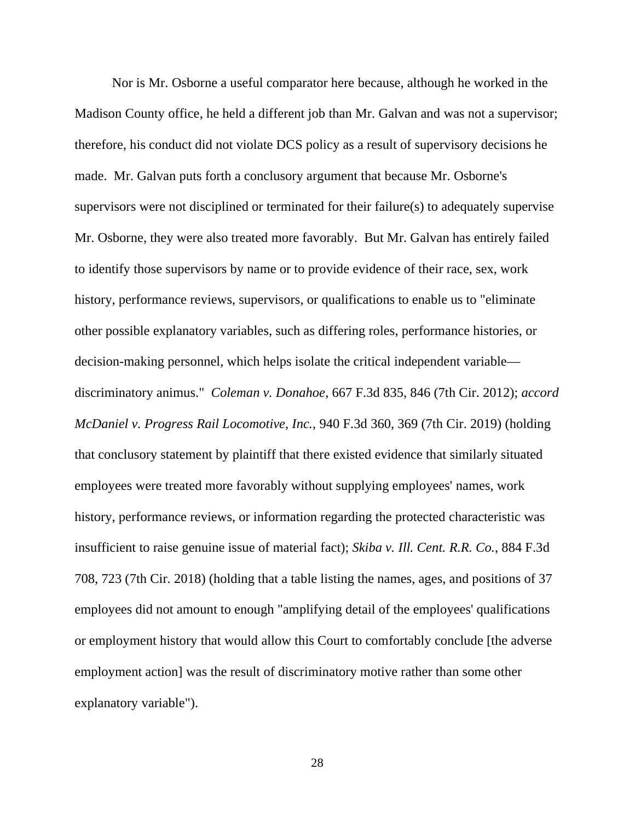Nor is Mr. Osborne a useful comparator here because, although he worked in the Madison County office, he held a different job than Mr. Galvan and was not a supervisor; therefore, his conduct did not violate DCS policy as a result of supervisory decisions he made. Mr. Galvan puts forth a conclusory argument that because Mr. Osborne's supervisors were not disciplined or terminated for their failure(s) to adequately supervise Mr. Osborne, they were also treated more favorably. But Mr. Galvan has entirely failed to identify those supervisors by name or to provide evidence of their race, sex, work history, performance reviews, supervisors, or qualifications to enable us to "eliminate other possible explanatory variables, such as differing roles, performance histories, or decision-making personnel, which helps isolate the critical independent variable discriminatory animus." *Coleman v. Donahoe*, 667 F.3d 835, 846 (7th Cir. 2012); *accord McDaniel v. Progress Rail Locomotive, Inc.*, 940 F.3d 360, 369 (7th Cir. 2019) (holding that conclusory statement by plaintiff that there existed evidence that similarly situated employees were treated more favorably without supplying employees' names, work history, performance reviews, or information regarding the protected characteristic was insufficient to raise genuine issue of material fact); *Skiba v. Ill. Cent. R.R. Co.*, 884 F.3d 708, 723 (7th Cir. 2018) (holding that a table listing the names, ages, and positions of 37 employees did not amount to enough "amplifying detail of the employees' qualifications or employment history that would allow this Court to comfortably conclude [the adverse employment action] was the result of discriminatory motive rather than some other explanatory variable").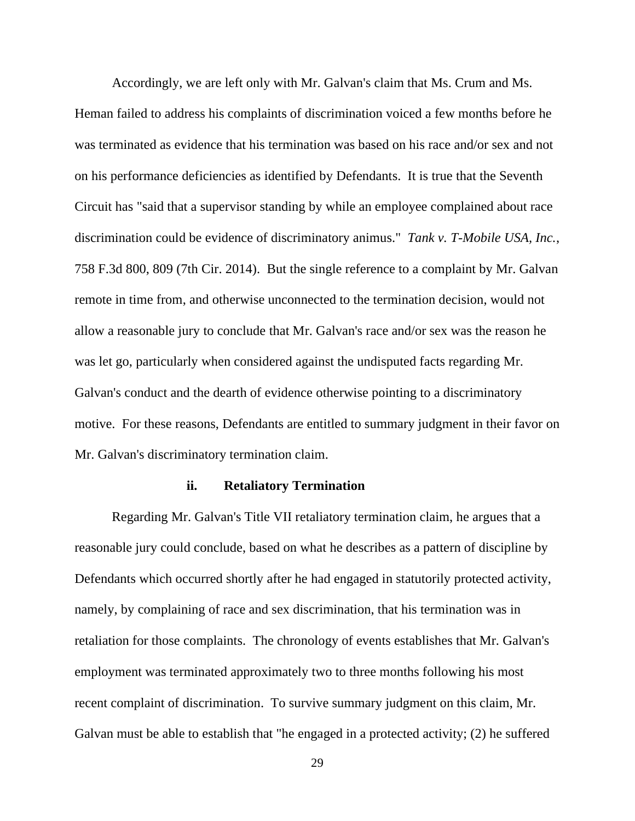Accordingly, we are left only with Mr. Galvan's claim that Ms. Crum and Ms. Heman failed to address his complaints of discrimination voiced a few months before he was terminated as evidence that his termination was based on his race and/or sex and not on his performance deficiencies as identified by Defendants. It is true that the Seventh Circuit has "said that a supervisor standing by while an employee complained about race discrimination could be evidence of discriminatory animus." *Tank v. T-Mobile USA, Inc.*, 758 F.3d 800, 809 (7th Cir. 2014). But the single reference to a complaint by Mr. Galvan remote in time from, and otherwise unconnected to the termination decision, would not allow a reasonable jury to conclude that Mr. Galvan's race and/or sex was the reason he was let go, particularly when considered against the undisputed facts regarding Mr. Galvan's conduct and the dearth of evidence otherwise pointing to a discriminatory motive. For these reasons, Defendants are entitled to summary judgment in their favor on Mr. Galvan's discriminatory termination claim.

# **ii. Retaliatory Termination**

Regarding Mr. Galvan's Title VII retaliatory termination claim, he argues that a reasonable jury could conclude, based on what he describes as a pattern of discipline by Defendants which occurred shortly after he had engaged in statutorily protected activity, namely, by complaining of race and sex discrimination, that his termination was in retaliation for those complaints. The chronology of events establishes that Mr. Galvan's employment was terminated approximately two to three months following his most recent complaint of discrimination. To survive summary judgment on this claim, Mr. Galvan must be able to establish that "he engaged in a protected activity; (2) he suffered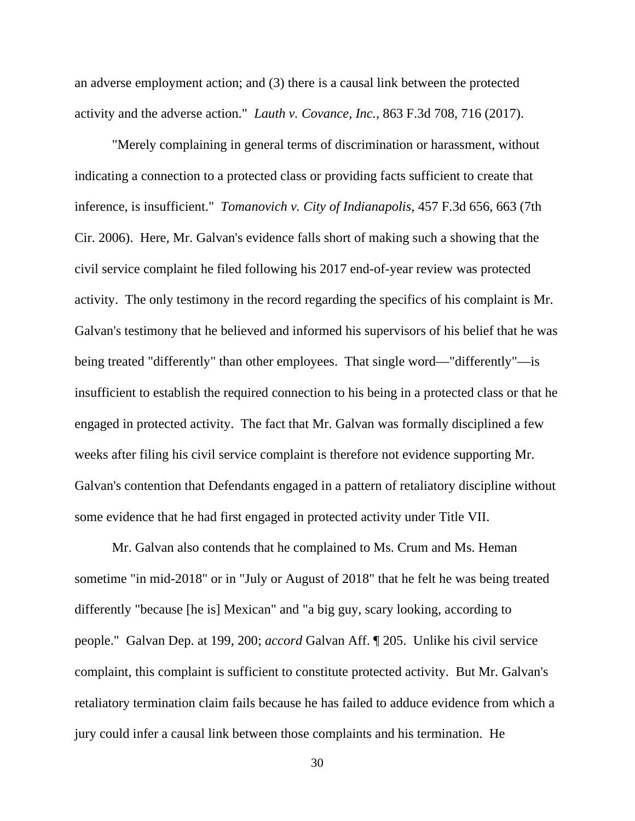an adverse employment action; and (3) there is a causal link between the protected activity and the adverse action." *Lauth v. Covance, Inc.*, 863 F.3d 708, 716 (2017).

"Merely complaining in general terms of discrimination or harassment, without indicating a connection to a protected class or providing facts sufficient to create that inference, is insufficient." *Tomanovich v. City of Indianapolis*, 457 F.3d 656, 663 (7th Cir. 2006). Here, Mr. Galvan's evidence falls short of making such a showing that the civil service complaint he filed following his 2017 end-of-year review was protected activity. The only testimony in the record regarding the specifics of his complaint is Mr. Galvan's testimony that he believed and informed his supervisors of his belief that he was being treated "differently" than other employees. That single word—"differently"—is insufficient to establish the required connection to his being in a protected class or that he engaged in protected activity. The fact that Mr. Galvan was formally disciplined a few weeks after filing his civil service complaint is therefore not evidence supporting Mr. Galvan's contention that Defendants engaged in a pattern of retaliatory discipline without some evidence that he had first engaged in protected activity under Title VII.

Mr. Galvan also contends that he complained to Ms. Crum and Ms. Heman sometime "in mid-2018" or in "July or August of 2018" that he felt he was being treated differently "because [he is] Mexican" and "a big guy, scary looking, according to people." Galvan Dep. at 199, 200; *accord* Galvan Aff. ¶ 205. Unlike his civil service complaint, this complaint is sufficient to constitute protected activity. But Mr. Galvan's retaliatory termination claim fails because he has failed to adduce evidence from which a jury could infer a causal link between those complaints and his termination. He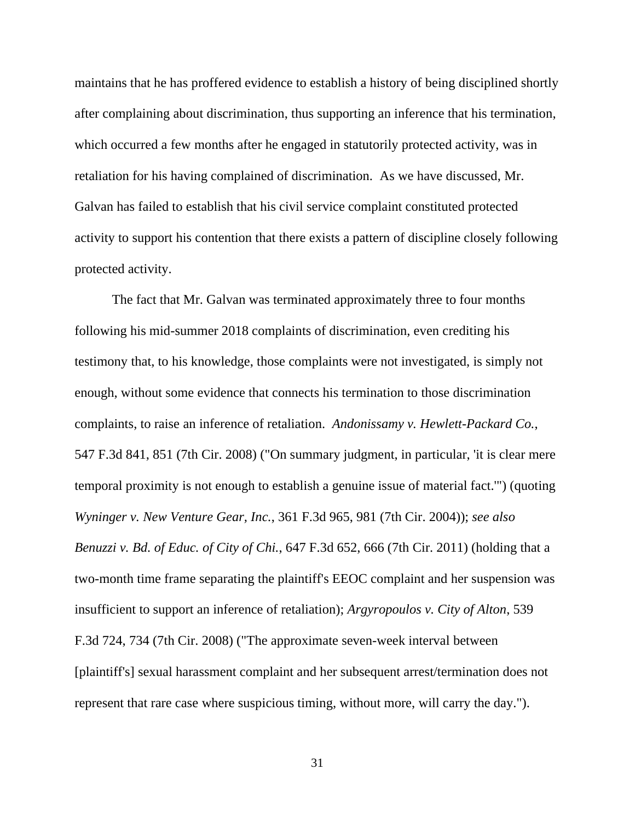maintains that he has proffered evidence to establish a history of being disciplined shortly after complaining about discrimination, thus supporting an inference that his termination, which occurred a few months after he engaged in statutorily protected activity, was in retaliation for his having complained of discrimination. As we have discussed, Mr. Galvan has failed to establish that his civil service complaint constituted protected activity to support his contention that there exists a pattern of discipline closely following protected activity.

The fact that Mr. Galvan was terminated approximately three to four months following his mid-summer 2018 complaints of discrimination, even crediting his testimony that, to his knowledge, those complaints were not investigated, is simply not enough, without some evidence that connects his termination to those discrimination complaints, to raise an inference of retaliation. *Andonissamy v. Hewlett-Packard Co.*, 547 F.3d 841, 851 (7th Cir. 2008) ("On summary judgment, in particular, 'it is clear mere temporal proximity is not enough to establish a genuine issue of material fact.'") (quoting *Wyninger v. New Venture Gear, Inc.*, 361 F.3d 965, 981 (7th Cir. 2004)); *see also Benuzzi v. Bd. of Educ. of City of Chi.*, 647 F.3d 652, 666 (7th Cir. 2011) (holding that a two-month time frame separating the plaintiff's EEOC complaint and her suspension was insufficient to support an inference of retaliation); *Argyropoulos v. City of Alton*, 539 F.3d 724, 734 (7th Cir. 2008) ("The approximate seven-week interval between [plaintiff's] sexual harassment complaint and her subsequent arrest/termination does not represent that rare case where suspicious timing, without more, will carry the day.").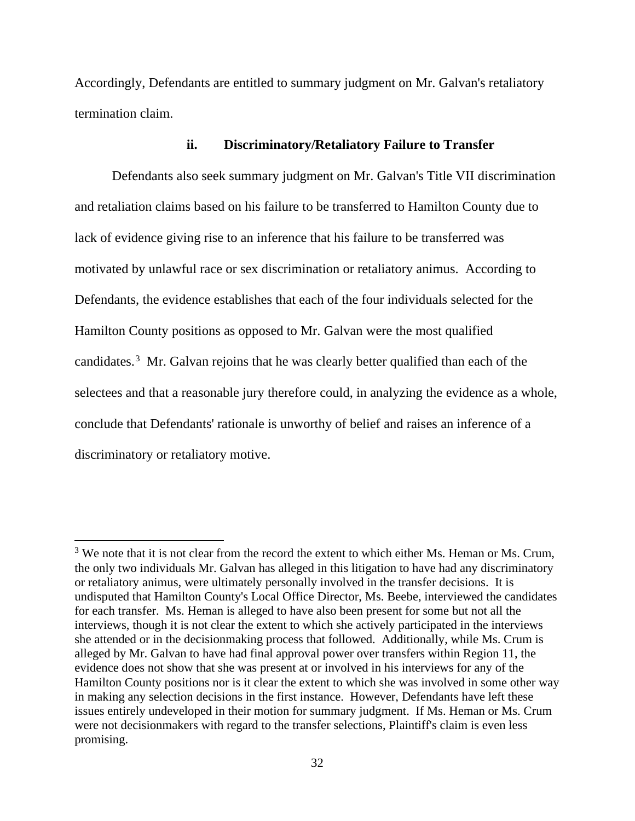Accordingly, Defendants are entitled to summary judgment on Mr. Galvan's retaliatory termination claim.

# **ii. Discriminatory/Retaliatory Failure to Transfer**

Defendants also seek summary judgment on Mr. Galvan's Title VII discrimination and retaliation claims based on his failure to be transferred to Hamilton County due to lack of evidence giving rise to an inference that his failure to be transferred was motivated by unlawful race or sex discrimination or retaliatory animus. According to Defendants, the evidence establishes that each of the four individuals selected for the Hamilton County positions as opposed to Mr. Galvan were the most qualified candidates.<sup>[3](#page-31-0)</sup> Mr. Galvan rejoins that he was clearly better qualified than each of the selectees and that a reasonable jury therefore could, in analyzing the evidence as a whole, conclude that Defendants' rationale is unworthy of belief and raises an inference of a discriminatory or retaliatory motive.

<span id="page-31-0"></span> $3$  We note that it is not clear from the record the extent to which either Ms. Heman or Ms. Crum, the only two individuals Mr. Galvan has alleged in this litigation to have had any discriminatory or retaliatory animus, were ultimately personally involved in the transfer decisions. It is undisputed that Hamilton County's Local Office Director, Ms. Beebe, interviewed the candidates for each transfer. Ms. Heman is alleged to have also been present for some but not all the interviews, though it is not clear the extent to which she actively participated in the interviews she attended or in the decisionmaking process that followed. Additionally, while Ms. Crum is alleged by Mr. Galvan to have had final approval power over transfers within Region 11, the evidence does not show that she was present at or involved in his interviews for any of the Hamilton County positions nor is it clear the extent to which she was involved in some other way in making any selection decisions in the first instance. However, Defendants have left these issues entirely undeveloped in their motion for summary judgment. If Ms. Heman or Ms. Crum were not decisionmakers with regard to the transfer selections, Plaintiff's claim is even less promising.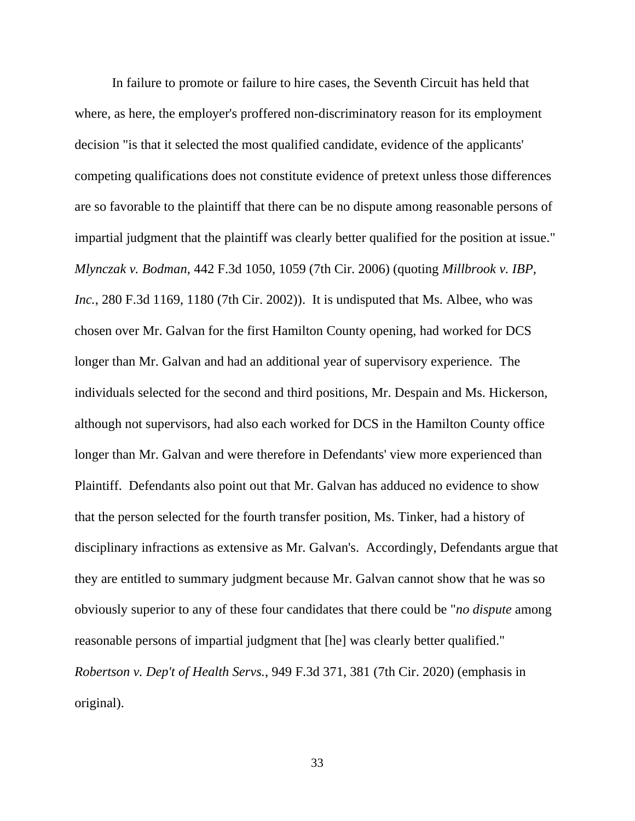In failure to promote or failure to hire cases, the Seventh Circuit has held that where, as here, the employer's proffered non-discriminatory reason for its employment decision "is that it selected the most qualified candidate, evidence of the applicants' competing qualifications does not constitute evidence of pretext unless those differences are so favorable to the plaintiff that there can be no dispute among reasonable persons of impartial judgment that the plaintiff was clearly better qualified for the position at issue." *Mlynczak v. Bodman*, 442 F.3d 1050, 1059 (7th Cir. 2006) (quoting *Millbrook v. IBP, Inc.*, 280 F.3d 1169, 1180 (7th Cir. 2002)). It is undisputed that Ms. Albee, who was chosen over Mr. Galvan for the first Hamilton County opening, had worked for DCS longer than Mr. Galvan and had an additional year of supervisory experience. The individuals selected for the second and third positions, Mr. Despain and Ms. Hickerson, although not supervisors, had also each worked for DCS in the Hamilton County office longer than Mr. Galvan and were therefore in Defendants' view more experienced than Plaintiff. Defendants also point out that Mr. Galvan has adduced no evidence to show that the person selected for the fourth transfer position, Ms. Tinker, had a history of disciplinary infractions as extensive as Mr. Galvan's. Accordingly, Defendants argue that they are entitled to summary judgment because Mr. Galvan cannot show that he was so obviously superior to any of these four candidates that there could be "*no dispute* among reasonable persons of impartial judgment that [he] was clearly better qualified." *Robertson v. Dep't of Health Servs.*, 949 F.3d 371, 381 (7th Cir. 2020) (emphasis in original).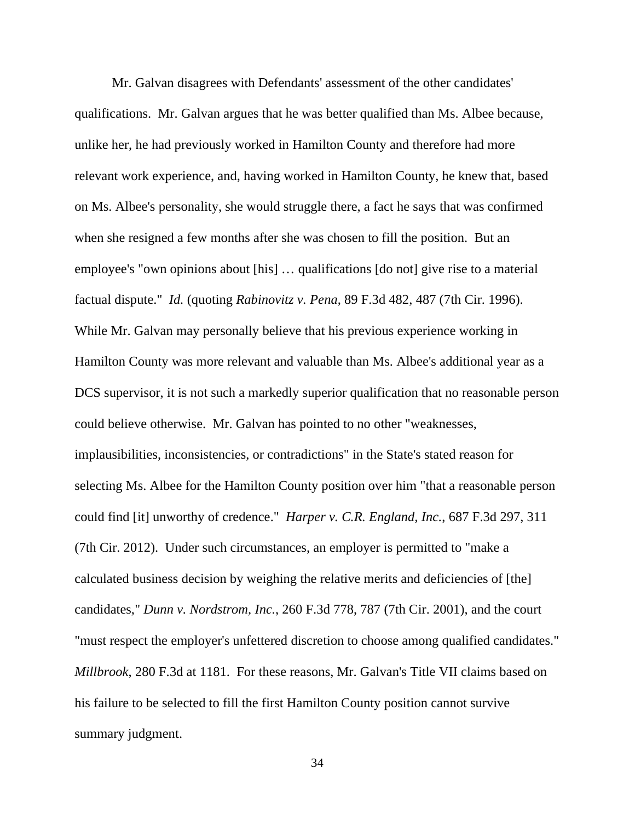Mr. Galvan disagrees with Defendants' assessment of the other candidates' qualifications. Mr. Galvan argues that he was better qualified than Ms. Albee because, unlike her, he had previously worked in Hamilton County and therefore had more relevant work experience, and, having worked in Hamilton County, he knew that, based on Ms. Albee's personality, she would struggle there, a fact he says that was confirmed when she resigned a few months after she was chosen to fill the position. But an employee's "own opinions about [his] … qualifications [do not] give rise to a material factual dispute." *Id.* (quoting *Rabinovitz v. Pena*, 89 F.3d 482, 487 (7th Cir. 1996). While Mr. Galvan may personally believe that his previous experience working in Hamilton County was more relevant and valuable than Ms. Albee's additional year as a DCS supervisor, it is not such a markedly superior qualification that no reasonable person could believe otherwise. Mr. Galvan has pointed to no other "weaknesses, implausibilities, inconsistencies, or contradictions" in the State's stated reason for selecting Ms. Albee for the Hamilton County position over him "that a reasonable person could find [it] unworthy of credence." *Harper v. C.R. England, Inc.*, 687 F.3d 297, 311 (7th Cir. 2012). Under such circumstances, an employer is permitted to "make a calculated business decision by weighing the relative merits and deficiencies of [the] candidates," *Dunn v. Nordstrom, Inc.*, 260 F.3d 778, 787 (7th Cir. 2001), and the court "must respect the employer's unfettered discretion to choose among qualified candidates." *Millbrook*, 280 F.3d at 1181. For these reasons, Mr. Galvan's Title VII claims based on his failure to be selected to fill the first Hamilton County position cannot survive summary judgment.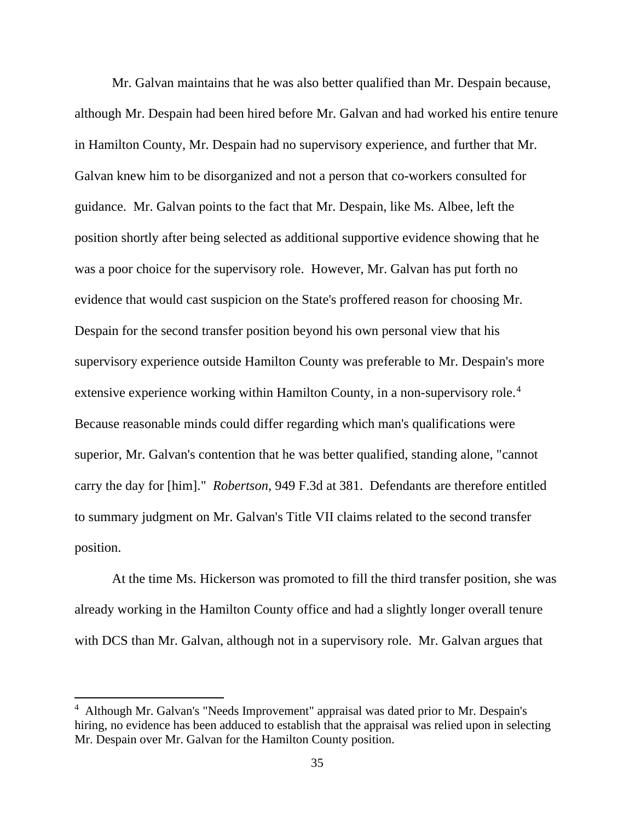Mr. Galvan maintains that he was also better qualified than Mr. Despain because, although Mr. Despain had been hired before Mr. Galvan and had worked his entire tenure in Hamilton County, Mr. Despain had no supervisory experience, and further that Mr. Galvan knew him to be disorganized and not a person that co-workers consulted for guidance. Mr. Galvan points to the fact that Mr. Despain, like Ms. Albee, left the position shortly after being selected as additional supportive evidence showing that he was a poor choice for the supervisory role. However, Mr. Galvan has put forth no evidence that would cast suspicion on the State's proffered reason for choosing Mr. Despain for the second transfer position beyond his own personal view that his supervisory experience outside Hamilton County was preferable to Mr. Despain's more extensive experience working within Hamilton County, in a non-supervisory role.<sup>[4](#page-34-0)</sup> Because reasonable minds could differ regarding which man's qualifications were superior, Mr. Galvan's contention that he was better qualified, standing alone, "cannot carry the day for [him]." *Robertson*, 949 F.3d at 381. Defendants are therefore entitled to summary judgment on Mr. Galvan's Title VII claims related to the second transfer position.

At the time Ms. Hickerson was promoted to fill the third transfer position, she was already working in the Hamilton County office and had a slightly longer overall tenure with DCS than Mr. Galvan, although not in a supervisory role. Mr. Galvan argues that

<span id="page-34-0"></span><sup>&</sup>lt;sup>4</sup> Although Mr. Galvan's "Needs Improvement" appraisal was dated prior to Mr. Despain's hiring, no evidence has been adduced to establish that the appraisal was relied upon in selecting Mr. Despain over Mr. Galvan for the Hamilton County position.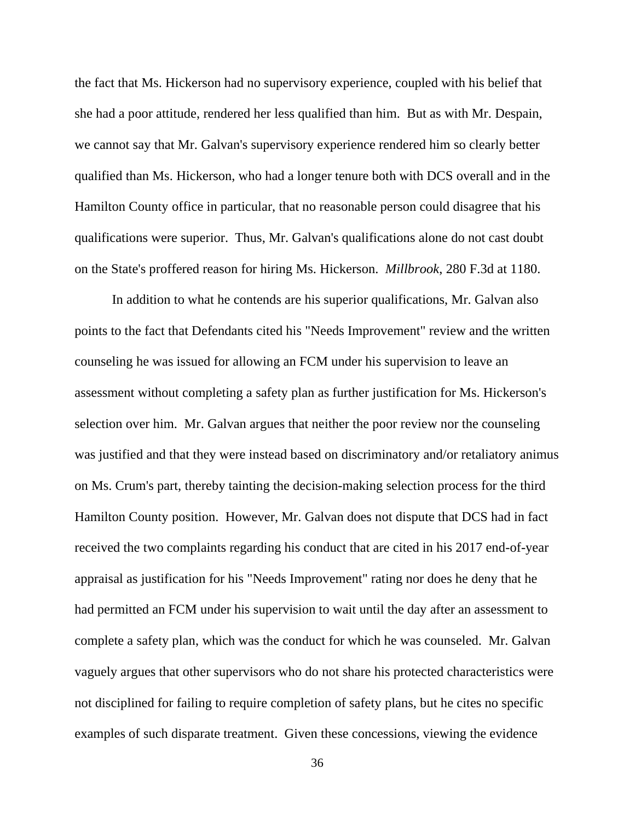the fact that Ms. Hickerson had no supervisory experience, coupled with his belief that she had a poor attitude, rendered her less qualified than him. But as with Mr. Despain, we cannot say that Mr. Galvan's supervisory experience rendered him so clearly better qualified than Ms. Hickerson, who had a longer tenure both with DCS overall and in the Hamilton County office in particular, that no reasonable person could disagree that his qualifications were superior. Thus, Mr. Galvan's qualifications alone do not cast doubt on the State's proffered reason for hiring Ms. Hickerson. *Millbrook*, 280 F.3d at 1180.

In addition to what he contends are his superior qualifications, Mr. Galvan also points to the fact that Defendants cited his "Needs Improvement" review and the written counseling he was issued for allowing an FCM under his supervision to leave an assessment without completing a safety plan as further justification for Ms. Hickerson's selection over him. Mr. Galvan argues that neither the poor review nor the counseling was justified and that they were instead based on discriminatory and/or retaliatory animus on Ms. Crum's part, thereby tainting the decision-making selection process for the third Hamilton County position. However, Mr. Galvan does not dispute that DCS had in fact received the two complaints regarding his conduct that are cited in his 2017 end-of-year appraisal as justification for his "Needs Improvement" rating nor does he deny that he had permitted an FCM under his supervision to wait until the day after an assessment to complete a safety plan, which was the conduct for which he was counseled. Mr. Galvan vaguely argues that other supervisors who do not share his protected characteristics were not disciplined for failing to require completion of safety plans, but he cites no specific examples of such disparate treatment. Given these concessions, viewing the evidence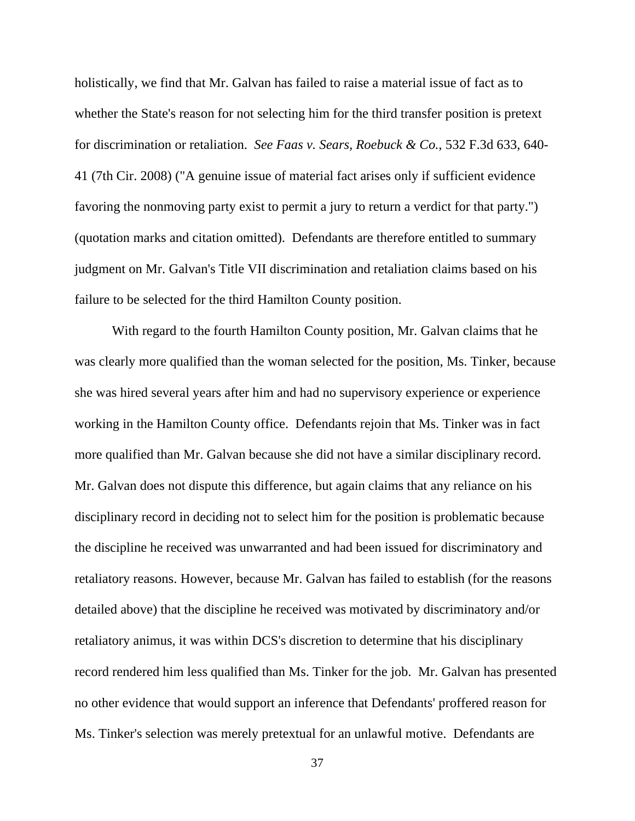holistically, we find that Mr. Galvan has failed to raise a material issue of fact as to whether the State's reason for not selecting him for the third transfer position is pretext for discrimination or retaliation. *See Faas v. Sears, Roebuck & Co.*, 532 F.3d 633, 640- 41 (7th Cir. 2008) ("A genuine issue of material fact arises only if sufficient evidence favoring the nonmoving party exist to permit a jury to return a verdict for that party.") (quotation marks and citation omitted). Defendants are therefore entitled to summary judgment on Mr. Galvan's Title VII discrimination and retaliation claims based on his failure to be selected for the third Hamilton County position.

With regard to the fourth Hamilton County position, Mr. Galvan claims that he was clearly more qualified than the woman selected for the position, Ms. Tinker, because she was hired several years after him and had no supervisory experience or experience working in the Hamilton County office. Defendants rejoin that Ms. Tinker was in fact more qualified than Mr. Galvan because she did not have a similar disciplinary record. Mr. Galvan does not dispute this difference, but again claims that any reliance on his disciplinary record in deciding not to select him for the position is problematic because the discipline he received was unwarranted and had been issued for discriminatory and retaliatory reasons. However, because Mr. Galvan has failed to establish (for the reasons detailed above) that the discipline he received was motivated by discriminatory and/or retaliatory animus, it was within DCS's discretion to determine that his disciplinary record rendered him less qualified than Ms. Tinker for the job. Mr. Galvan has presented no other evidence that would support an inference that Defendants' proffered reason for Ms. Tinker's selection was merely pretextual for an unlawful motive. Defendants are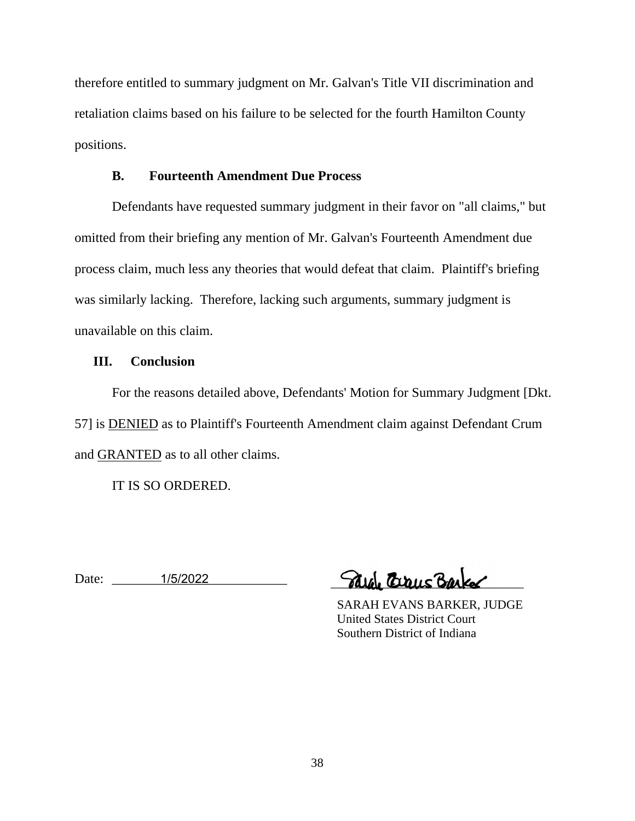therefore entitled to summary judgment on Mr. Galvan's Title VII discrimination and retaliation claims based on his failure to be selected for the fourth Hamilton County positions.

# **B. Fourteenth Amendment Due Process**

Defendants have requested summary judgment in their favor on "all claims," but omitted from their briefing any mention of Mr. Galvan's Fourteenth Amendment due process claim, much less any theories that would defeat that claim. Plaintiff's briefing was similarly lacking. Therefore, lacking such arguments, summary judgment is unavailable on this claim.

# **III. Conclusion**

For the reasons detailed above, Defendants' Motion for Summary Judgment [Dkt. 57] is DENIED as to Plaintiff's Fourteenth Amendment claim against Defendant Crum and GRANTED as to all other claims.

IT IS SO ORDERED.

Date: \_\_\_\_\_\_\_\_\_\_\_\_\_\_\_\_\_\_\_\_\_\_\_\_\_\_ 1/5/2022 \_\_\_\_\_\_\_\_\_\_\_\_\_\_\_\_\_\_\_\_\_\_\_\_\_\_\_\_\_\_\_

 SARAH EVANS BARKER, JUDGE United States District Court Southern District of Indiana